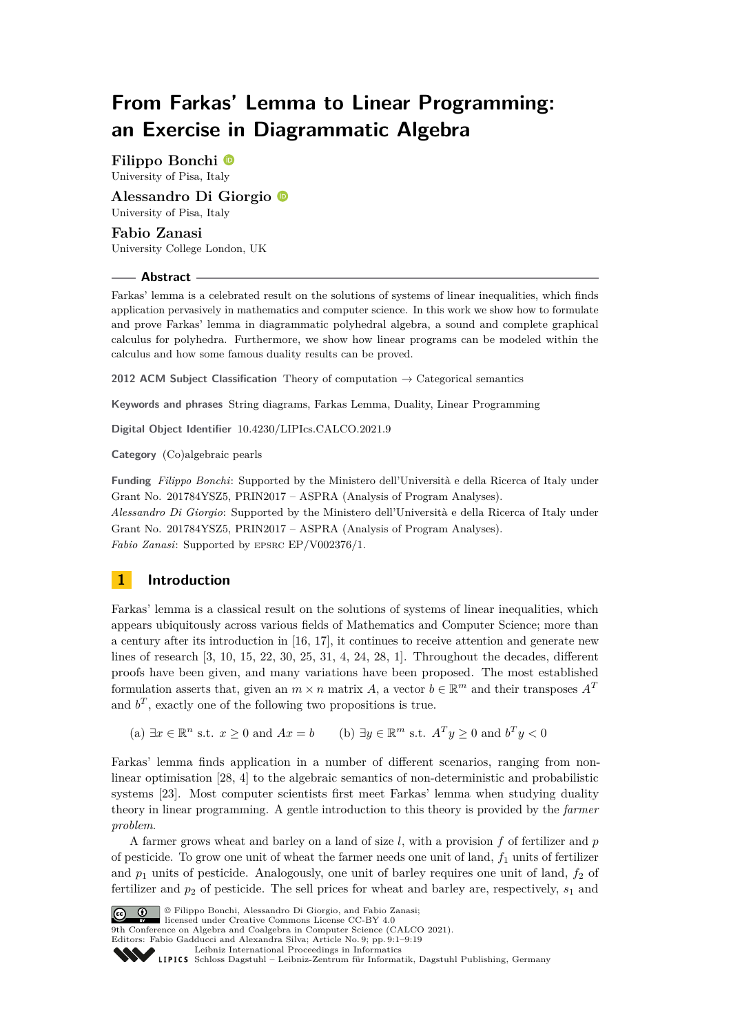## **From Farkas' Lemma to Linear Programming: an Exercise in Diagrammatic Algebra**

**Filippo Bonchi** University of Pisa, Italy

**Alessandro Di Giorgio** University of Pisa, Italy

**Fabio Zanasi** University College London, UK

#### **Abstract**

Farkas' lemma is a celebrated result on the solutions of systems of linear inequalities, which finds application pervasively in mathematics and computer science. In this work we show how to formulate and prove Farkas' lemma in diagrammatic polyhedral algebra, a sound and complete graphical calculus for polyhedra. Furthermore, we show how linear programs can be modeled within the calculus and how some famous duality results can be proved.

**2012 ACM Subject Classification** Theory of computation → Categorical semantics

**Keywords and phrases** String diagrams, Farkas Lemma, Duality, Linear Programming

**Digital Object Identifier** [10.4230/LIPIcs.CALCO.2021.9](https://doi.org/10.4230/LIPIcs.CALCO.2021.9)

**Category** (Co)algebraic pearls

**Funding** *Filippo Bonchi*: Supported by the Ministero dell'Università e della Ricerca of Italy under Grant No. 201784YSZ5, PRIN2017 – ASPRA (Analysis of Program Analyses). *Alessandro Di Giorgio*: Supported by the Ministero dell'Università e della Ricerca of Italy under Grant No. 201784YSZ5, PRIN2017 – ASPRA (Analysis of Program Analyses). *Fabio Zanasi*: Supported by epsrc EP/V002376/1.

## **1 Introduction**

Farkas' lemma is a classical result on the solutions of systems of linear inequalities, which appears ubiquitously across various fields of Mathematics and Computer Science; more than a century after its introduction in [\[16,](#page-16-0) [17\]](#page-16-1), it continues to receive attention and generate new lines of research [\[3,](#page-15-0) [10,](#page-16-2) [15,](#page-16-3) [22,](#page-16-4) [30,](#page-16-5) [25,](#page-16-6) [31,](#page-16-7) [4,](#page-15-1) [24,](#page-16-8) [28,](#page-16-9) [1\]](#page-15-2). Throughout the decades, different proofs have been given, and many variations have been proposed. The most established formulation asserts that, given an  $m \times n$  matrix *A*, a vector  $b \in \mathbb{R}^m$  and their transposes  $A^T$ and  $b^T$ , exactly one of the following two propositions is true.

(a) ∃*x* ∈  $\mathbb{R}^n$  s.t. *x* ≥ 0 and *Ax* = *b* (b) ∃*y* ∈  $\mathbb{R}^m$  s.t. *A*<sup>T</sup> *y* ≥ 0 and *b*<sup>T</sup> *y* < 0

Farkas' lemma finds application in a number of different scenarios, ranging from nonlinear optimisation [\[28,](#page-16-9) [4\]](#page-15-1) to the algebraic semantics of non-deterministic and probabilistic systems [\[23\]](#page-16-10). Most computer scientists first meet Farkas' lemma when studying duality theory in linear programming. A gentle introduction to this theory is provided by the *farmer problem*.

A farmer grows wheat and barley on a land of size *l*, with a provision *f* of fertilizer and *p* of pesticide. To grow one unit of wheat the farmer needs one unit of land, *f*<sup>1</sup> units of fertilizer and  $p_1$  units of pesticide. Analogously, one unit of barley requires one unit of land,  $f_2$  of fertilizer and  $p_2$  of pesticide. The sell prices for wheat and barley are, respectively,  $s_1$  and



© Filippo Bonchi, Alessandro Di Giorgio, and Fabio Zanasi;

licensed under Creative Commons License CC-BY 4.0

9th Conference on Algebra and Coalgebra in Computer Science (CALCO 2021). Editors: Fabio Gadducci and Alexandra Silva; Article No. 9; pp. 9:1–9:19

[Leibniz International Proceedings in Informatics](https://www.dagstuhl.de/lipics/)

Leibniz International Froceedings in miormatics<br>
LIPICS [Schloss Dagstuhl – Leibniz-Zentrum für Informatik, Dagstuhl Publishing, Germany](https://www.dagstuhl.de)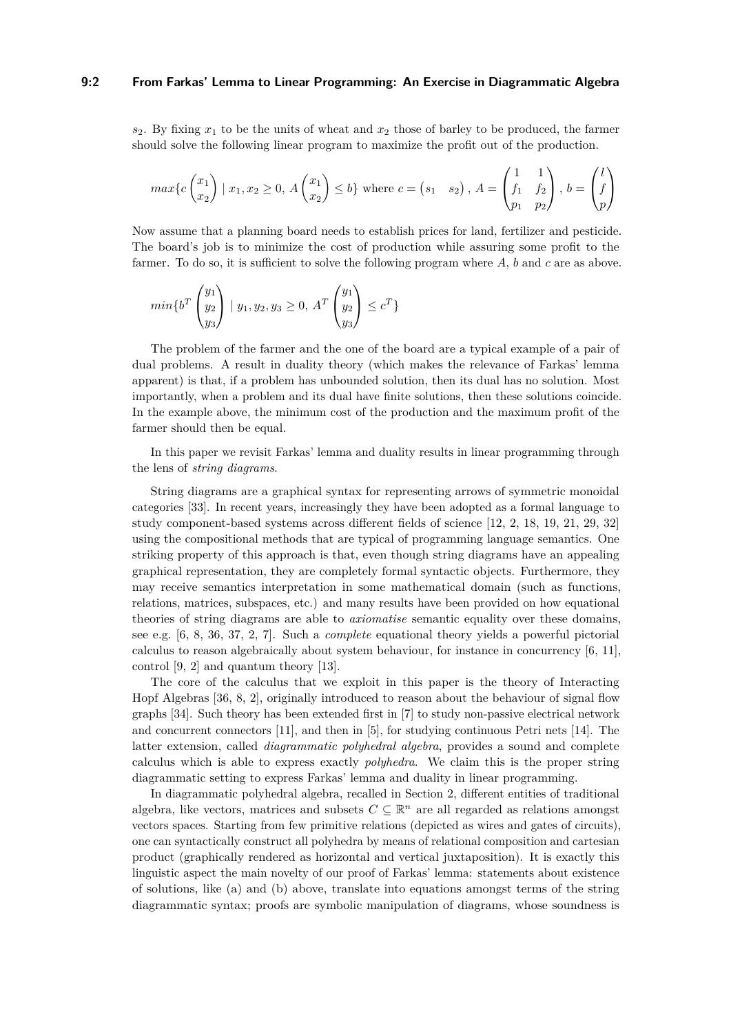#### **9:2 From Farkas' Lemma to Linear Programming: An Exercise in Diagrammatic Algebra**

*s*2. By fixing *x*<sup>1</sup> to be the units of wheat and *x*<sup>2</sup> those of barley to be produced, the farmer should solve the following linear program to maximize the profit out of the production.

$$
\max\{c\begin{pmatrix}x_1\\x_2\end{pmatrix} \mid x_1, x_2 \ge 0, A\begin{pmatrix}x_1\\x_2\end{pmatrix} \le b\} \text{ where } c = \begin{pmatrix}s_1 & s_2\end{pmatrix}, A = \begin{pmatrix}1 & 1\\f_1 & f_2\\p_1 & p_2\end{pmatrix}, b = \begin{pmatrix}l\\f\\p\end{pmatrix}
$$

Now assume that a planning board needs to establish prices for land, fertilizer and pesticide. The board's job is to minimize the cost of production while assuring some profit to the farmer. To do so, it is sufficient to solve the following program where *A*, *b* and *c* are as above.

$$
min\{b^{T}\begin{pmatrix}y_{1} \\ y_{2} \\ y_{3}\end{pmatrix} | y_{1}, y_{2}, y_{3} \ge 0, A^{T}\begin{pmatrix}y_{1} \\ y_{2} \\ y_{3}\end{pmatrix} \le c^{T}\}
$$

The problem of the farmer and the one of the board are a typical example of a pair of dual problems. A result in duality theory (which makes the relevance of Farkas' lemma apparent) is that, if a problem has unbounded solution, then its dual has no solution. Most importantly, when a problem and its dual have finite solutions, then these solutions coincide. In the example above, the minimum cost of the production and the maximum profit of the farmer should then be equal.

In this paper we revisit Farkas' lemma and duality results in linear programming through the lens of *string diagrams*.

String diagrams are a graphical syntax for representing arrows of symmetric monoidal categories [\[33\]](#page-16-11). In recent years, increasingly they have been adopted as a formal language to study component-based systems across different fields of science [\[12,](#page-16-12) [2,](#page-15-3) [18,](#page-16-13) [19,](#page-16-14) [21,](#page-16-15) [29,](#page-16-16) [32\]](#page-16-17) using the compositional methods that are typical of programming language semantics. One striking property of this approach is that, even though string diagrams have an appealing graphical representation, they are completely formal syntactic objects. Furthermore, they may receive semantics interpretation in some mathematical domain (such as functions, relations, matrices, subspaces, etc.) and many results have been provided on how equational theories of string diagrams are able to *axiomatise* semantic equality over these domains, see e.g. [\[6,](#page-15-4) [8,](#page-15-5) [36,](#page-17-0) [37,](#page-17-1) [2,](#page-15-3) [7\]](#page-15-6). Such a *complete* equational theory yields a powerful pictorial calculus to reason algebraically about system behaviour, for instance in concurrency [\[6,](#page-15-4) [11\]](#page-16-18), control [\[9,](#page-15-7) [2\]](#page-15-3) and quantum theory [\[13\]](#page-16-19).

The core of the calculus that we exploit in this paper is the theory of Interacting Hopf Algebras [\[36,](#page-17-0) [8,](#page-15-5) [2\]](#page-15-3), originally introduced to reason about the behaviour of signal flow graphs [\[34\]](#page-17-2). Such theory has been extended first in [\[7\]](#page-15-6) to study non-passive electrical network and concurrent connectors [\[11\]](#page-16-18), and then in [\[5\]](#page-15-8), for studying continuous Petri nets [\[14\]](#page-16-20). The latter extension, called *diagrammatic polyhedral algebra*, provides a sound and complete calculus which is able to express exactly *polyhedra*. We claim this is the proper string diagrammatic setting to express Farkas' lemma and duality in linear programming.

In diagrammatic polyhedral algebra, recalled in Section [2,](#page-2-0) different entities of traditional algebra, like vectors, matrices and subsets  $C \subseteq \mathbb{R}^n$  are all regarded as relations amongst vectors spaces. Starting from few primitive relations (depicted as wires and gates of circuits), one can syntactically construct all polyhedra by means of relational composition and cartesian product (graphically rendered as horizontal and vertical juxtaposition). It is exactly this linguistic aspect the main novelty of our proof of Farkas' lemma: statements about existence of solutions, like (a) and (b) above, translate into equations amongst terms of the string diagrammatic syntax; proofs are symbolic manipulation of diagrams, whose soundness is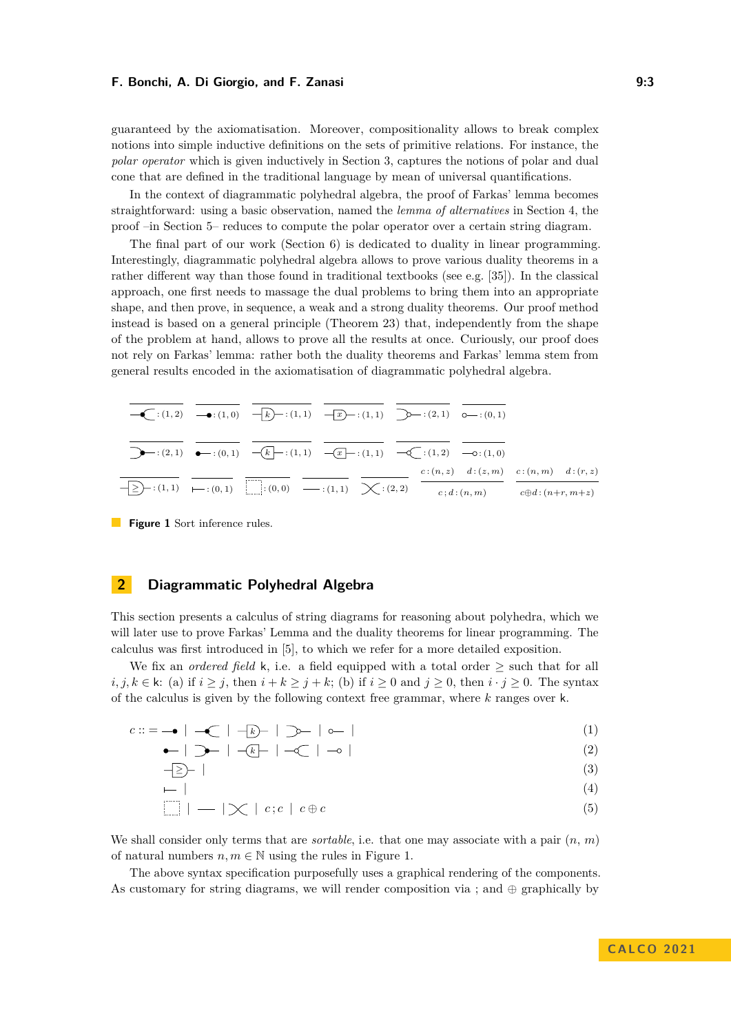guaranteed by the axiomatisation. Moreover, compositionality allows to break complex notions into simple inductive definitions on the sets of primitive relations. For instance, the *polar operator* which is given inductively in Section [3,](#page-8-0) captures the notions of polar and dual cone that are defined in the traditional language by mean of universal quantifications.

In the context of diagrammatic polyhedral algebra, the proof of Farkas' lemma becomes straightforward: using a basic observation, named the *lemma of alternatives* in Section [4,](#page-10-0) the proof –in Section [5–](#page-11-0) reduces to compute the polar operator over a certain string diagram.

The final part of our work (Section [6\)](#page-12-0) is dedicated to duality in linear programming. Interestingly, diagrammatic polyhedral algebra allows to prove various duality theorems in a rather different way than those found in traditional textbooks (see e.g. [\[35\]](#page-17-3)). In the classical approach, one first needs to massage the dual problems to bring them into an appropriate shape, and then prove, in sequence, a weak and a strong duality theorems. Our proof method instead is based on a general principle (Theorem [23\)](#page-13-0) that, independently from the shape of the problem at hand, allows to prove all the results at once. Curiously, our proof does not rely on Farkas' lemma: rather both the duality theorems and Farkas' lemma stem from general results encoded in the axiomatisation of diagrammatic polyhedral algebra.

<span id="page-2-1"></span>

|  | $-\geq$ $\rightarrow$ : (1, 1) $\longmapsto$ : (0, 1) $\downarrow$ : (0, 0) $\longmapsto$ : (1, 1) $\searrow$ : (2, 2)                  |  | $c; d:(n,m)$ $c \oplus d:(n+r, m+z)$    |  |
|--|-----------------------------------------------------------------------------------------------------------------------------------------|--|-----------------------------------------|--|
|  |                                                                                                                                         |  | $c:(n,z)$ $d:(z,m)$ $c:(n,m)$ $d:(r,z)$ |  |
|  |                                                                                                                                         |  |                                         |  |
|  | $-\bullet : (1,2) \rightarrow (1,0)$ $-\rightarrow (1,1)$ $-\rightarrow (1,1)$ $\rightarrow (1,1)$ $\rightarrow (2,1)$ $\circ$ $(-1,0)$ |  |                                         |  |

**Figure 1** Sort inference rules.

## <span id="page-2-0"></span>**2 Diagrammatic Polyhedral Algebra**

This section presents a calculus of string diagrams for reasoning about polyhedra, which we will later use to prove Farkas' Lemma and the duality theorems for linear programming. The calculus was first introduced in [\[5\]](#page-15-8), to which we refer for a more detailed exposition.

We fix an *ordered field* k, i.e. a field equipped with a total order  $\geq$  such that for all *i*, *j*, *k* ∈ k: (a) if *i* ≥ *j*, then *i* + *k* ≥ *j* + *k*; (b) if *i* ≥ 0 and *j* ≥ 0, then *i* · *j* ≥ 0. The syntax of the calculus is given by the following context free grammar, where *k* ranges over k.

$$
c ::= -\bullet \mid -\textcircled{\textsf{I}} \mid -\textcircled{\textsf{I}} \mid -\textcircled{\textsf{I}} \textcirc \textcircled{\textsf{I}} \mid \textcircled{\textsf{I}} \textcirc \textcircled{\textsf{I}} \mid \textcircled{\textsf{I}} \tag{1}
$$

$$
\bullet \quad | \quad \bullet \quad | \quad \bullet \quad | \quad \bullet \quad | \quad \bullet \quad | \quad \bullet \quad | \quad \bullet \quad | \quad \bullet \quad | \quad \bullet \quad | \quad \bullet \quad | \quad \bullet \quad | \quad \bullet \quad | \quad \bullet \quad | \quad \bullet \quad | \quad \bullet \quad | \quad \bullet \quad | \quad \bullet \quad | \quad \bullet \quad | \quad \bullet \quad | \quad \bullet \quad | \quad \bullet \quad | \quad \bullet \quad | \quad \bullet \quad | \quad \bullet \quad | \quad \bullet \quad | \quad \bullet \quad | \quad \bullet \quad | \quad \bullet \quad | \quad \bullet \quad | \quad \bullet \quad | \quad \bullet \quad | \quad \bullet \quad | \quad \bullet \quad | \quad \bullet \quad | \quad \bullet \quad | \quad \bullet \quad | \quad \bullet \quad | \quad \bullet \quad | \quad \bullet \quad | \quad \bullet \quad | \quad \bullet \quad | \quad \bullet \quad | \quad \bullet \quad | \quad \bullet \quad | \quad \bullet \quad | \quad \bullet \quad | \quad \bullet \quad | \quad \bullet \quad | \quad \bullet \quad | \quad \bullet \quad | \quad \bullet \quad | \quad \bullet \quad | \quad \bullet \quad | \quad \bullet \quad | \quad \bullet \quad | \quad \bullet \quad | \quad \bullet \quad | \quad \bullet \quad | \quad \bullet \quad | \quad \bullet \quad | \quad \bullet \quad | \quad \bullet \quad | \quad \bullet \quad | \quad \bullet \quad | \quad \bullet \quad | \quad \bullet \quad | \quad \bullet \quad | \quad \bullet \quad | \quad \bullet \quad | \quad \bullet \quad | \quad \bullet \quad | \quad \bullet \quad | \quad \bullet \quad | \quad \bullet \quad | \quad \bullet \quad | \quad \bullet \quad | \quad \bullet \quad | \quad \bullet \quad | \quad \bullet \quad | \quad \bullet \quad | \quad \bullet \quad | \quad \bullet \quad | \quad \bullet \quad | \quad \bullet \quad | \quad \bullet \quad | \quad \bullet \quad | \quad \bullet \quad | \quad \bullet \quad | \quad \bullet \quad | \quad \bullet \quad | \quad \bullet \quad | \quad \bullet \quad | \quad \bullet \quad | \quad \bullet \quad | \quad \bullet \quad | \quad \bullet \quad | \quad \bullet \quad | \quad \bullet \quad | \quad \bullet \quad | \quad \bullet \quad | \quad \bullet \quad | \quad \bullet \quad | \quad \bullet \quad | \quad \bullet \quad | \quad \bullet \quad | \quad \bullet \quad | \quad \bullet \quad | \quad \bullet \quad | \quad \bullet \quad
$$

$$
-\geq -| \tag{3}
$$

<span id="page-2-6"></span><span id="page-2-5"></span><span id="page-2-4"></span><span id="page-2-3"></span><span id="page-2-2"></span>
$$
\begin{array}{c}\n \begin{array}{c}\n \text{---} \\
 \hline\n \text{---} \\
 \hline\n \text{---} \\
 \hline\n \end{array}\n \end{array}
$$
\n
$$
\begin{array}{c}\n \text{(4)} \\
 \text{---} \\
 \text{(5)} \\
 \end{array}
$$

We shall consider only terms that are *sortable*, i.e. that one may associate with a pair  $(n, m)$ of natural numbers  $n, m \in \mathbb{N}$  using the rules in Figure [1.](#page-2-1)

The above syntax specification purposefully uses a graphical rendering of the components. As customary for string diagrams, we will render composition via ; and  $\oplus$  graphically by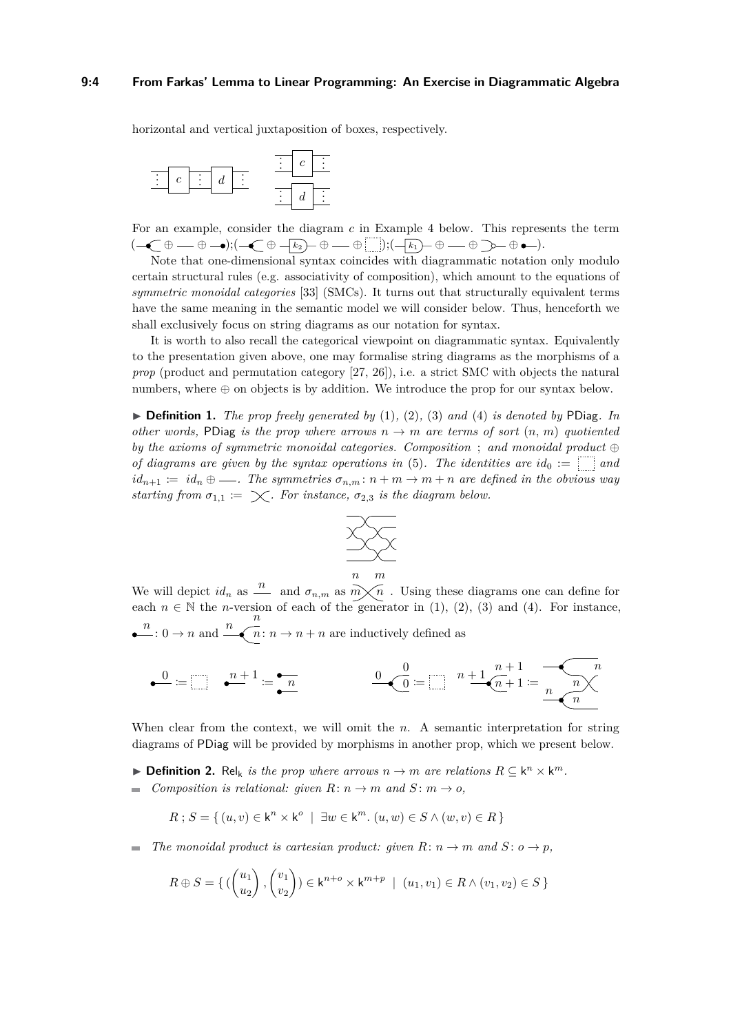#### **9:4 From Farkas' Lemma to Linear Programming: An Exercise in Diagrammatic Algebra**

horizontal and vertical juxtaposition of boxes, respectively.



For an example, consider the diagram *c* in Example [4](#page-4-0) below. This represents the term  $(-C + \oplus -\bullet); (-C + \oplus -k_2) + \oplus -\bullet \quad \text{and} \quad \dots); (-k_1) + \oplus -\bullet \quad \text{and} \quad \bullet -\bullet \text{.}$ 

Note that one-dimensional syntax coincides with diagrammatic notation only modulo certain structural rules (e.g. associativity of composition), which amount to the equations of *symmetric monoidal categories* [\[33\]](#page-16-11) (SMCs). It turns out that structurally equivalent terms have the same meaning in the semantic model we will consider below. Thus, henceforth we shall exclusively focus on string diagrams as our notation for syntax.

It is worth to also recall the categorical viewpoint on diagrammatic syntax. Equivalently to the presentation given above, one may formalise string diagrams as the morphisms of a *prop* (product and permutation category [\[27,](#page-16-21) [26\]](#page-16-22)), i.e. a strict SMC with objects the natural numbers, where ⊕ on objects is by addition. We introduce the prop for our syntax below.

 $\triangleright$  **Definition 1.** *The prop freely generated by* [\(1\)](#page-2-2)*,* [\(2\)](#page-2-3)*,* [\(3\)](#page-2-4) *and* [\(4\)](#page-2-5) *is denoted by* PDiag. *In other words,* PDiag *is the prop where arrows*  $n \rightarrow m$  *are terms of sort*  $(n, m)$  *quotiented by the axioms of symmetric monoidal categories. Composition* ; *and monoidal product* ⊕ *of diagrams are given by the syntax operations in* [\(5\)](#page-2-6). The *identities are*  $id_0 := \begin{bmatrix} a \end{bmatrix}$  and  $id_{n+1} := id_n \oplus \ldots$ . The symmetries  $\sigma_{n,m}: n+m \to m+n$  are defined in the obvious way *starting from*  $\sigma_{1,1} := \times$ . For instance,  $\sigma_{2,3}$  is the diagram below.



We will depict  $id_n$  as  $\frac{n}{m}$  and  $\sigma_{n,m}$  as  $\overrightarrow{m}\times\overrightarrow{n}$ . Using these diagrams one can define for each  $n \in \mathbb{N}$  the *n*-version of each of the generator in [\(1\)](#page-2-2), [\(2\)](#page-2-3), [\(3\)](#page-2-4) and [\(4\)](#page-2-5). For instance,  $\frac{n}{n}$ : 0  $\rightarrow$  *n* and  $\frac{n}{n}$  $n: n \to n + n$  are inductively defined as

$$
\bullet \stackrel{0}{\bullet} := \bigsqcup \quad \bullet \stackrel{n+1}{\bullet} := \bullet \stackrel{n}{\bullet} \qquad \qquad \underbrace{0 \bullet \stackrel{0}{\bullet}}_{\bullet} := \bigsqcup \quad \stackrel{n+1}{\bullet} \underbrace{0 \bullet \stackrel{n+1}{\bullet} := \bullet \stackrel{n}{\bullet} \stackrel{n}{\bullet} \stackrel{n}{\bullet} \stackrel{n}{\bullet}}
$$

When clear from the context, we will omit the *n*. A semantic interpretation for string diagrams of PDiag will be provided by morphisms in another prop, which we present below.

- ▶ **Definition 2.** Rel<sub>k</sub> is the prop where arrows  $n \to m$  are relations  $R \subseteq \mathsf{k}^n \times \mathsf{k}^m$ .
- $\blacksquare$  *Composition is relational: given*  $R: n \to m$  *and*  $S: m \to o$ ,

$$
R; S = \{ (u, v) \in \mathsf{k}^n \times \mathsf{k}^o \mid \exists w \in \mathsf{k}^m. (u, w) \in S \land (w, v) \in R \}
$$

*The monoidal product is cartesian product: given*  $R: n \to m$  *and*  $S: o \to p$ *,*  $\equiv$ 

$$
R \oplus S = \{ \left( \begin{pmatrix} u_1 \\ u_2 \end{pmatrix}, \begin{pmatrix} v_1 \\ v_2 \end{pmatrix} \right) \in \mathsf{k}^{n+o} \times \mathsf{k}^{m+p} \mid (u_1, v_1) \in R \land (v_1, v_2) \in S \}
$$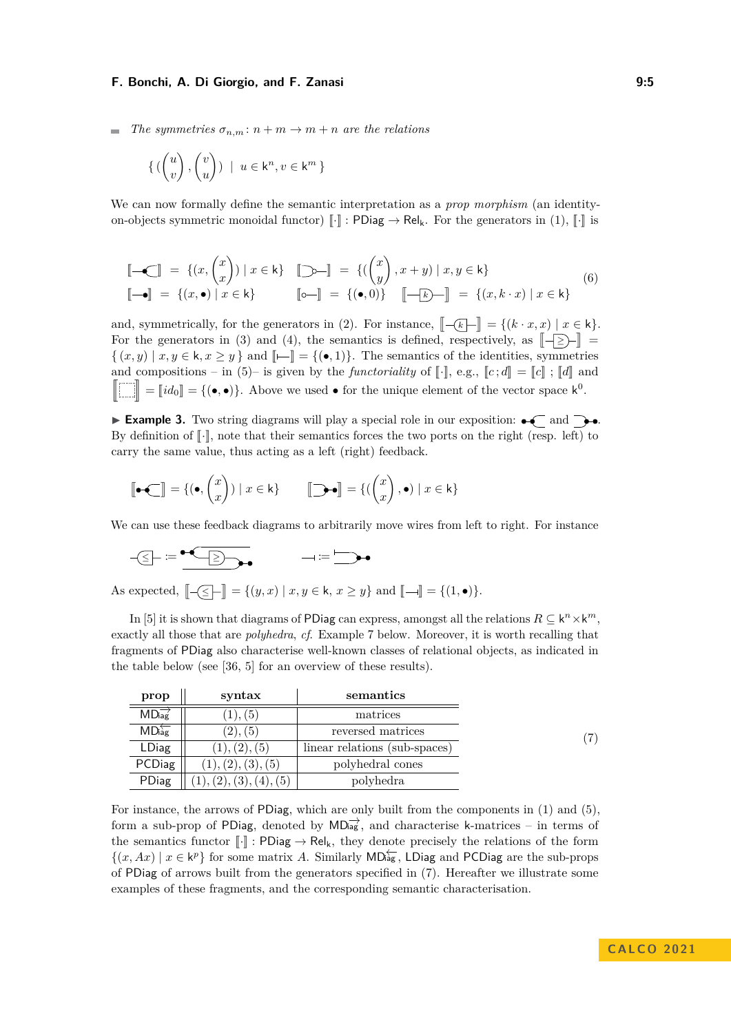*The symmetries*  $\sigma_{n,m}: n+m \to m+n$  *are the relations* 

$$
\left\{ \begin{pmatrix} u \\ v \end{pmatrix}, \begin{pmatrix} v \\ u \end{pmatrix} \right\} \mid u \in \mathsf{k}^n, v \in \mathsf{k}^m \right\}
$$

<span id="page-4-2"></span>We can now formally define the semantic interpretation as a *prop morphism* (an identityon-objects symmetric monoidal functor)  $\llbracket \cdot \rrbracket$  : PDiag  $\rightarrow$  Rel<sub>k</sub>. For the generators in [\(1\)](#page-2-2),  $\llbracket \cdot \rrbracket$  is

$$
\begin{aligned}\n\left[\begin{array}{c}\n-\mathbf{C}\n\end{array}\right] &= \{(x, \begin{pmatrix} x \\ x \end{pmatrix}) \mid x \in \mathsf{k}\} \quad \left[\begin{array}{c}\n\mathbf{D} - \mathbb{I}\n\end{array}\right] &= \{(\begin{pmatrix} x \\ y \end{pmatrix}, x + y) \mid x, y \in \mathsf{k}\} \\
\left[\begin{array}{c}\n-\mathbf{e}\n\end{array}\right] &= \{(x, k \cdot x) \mid x \in \mathsf{k}\}\n\end{aligned}\n\tag{6}
$$

and, symmetrically, for the generators in [\(2\)](#page-2-3). For instance,  $\left[\begin{array}{c} -k\\ \end{array}\right] = \{(k \cdot x, x) \mid x \in k\}.$ For the generators in [\(3\)](#page-2-4) and [\(4\)](#page-2-5), the semantics is defined, respectively, as  $\llbracket - \ge \rangle - \rrbracket =$  $\{(x, y) \mid x, y \in \mathsf{k}, x \geq y\}$  and  $\llbracket \leftarrow \rrbracket = \{(\bullet, 1)\}\$ . The semantics of the identities, symmetries and compositions – in [\(5\)](#page-2-6)– is given by the *functoriality* of  $\llbracket \cdot \rrbracket$ , e.g.,  $\llbracket c \cdot d \rrbracket = \llbracket c \rrbracket$ ;  $\llbracket d \rrbracket$  and **r** z  $=[id_0] = \{(\bullet, \bullet)\}.$  Above we used  $\bullet$  for the unique element of the vector space  $k^0$ .

 $\blacktriangleright$  **Example 3.** Two string diagrams will play a special role in our exposition:  $\blacklozenge$  and  $\blacktriangleright$ . By definition of  $\lbrack \cdot \rbrack$ , note that their semantics forces the two ports on the right (resp. left) to carry the same value, thus acting as a left (right) feedback.

$$
[\!\!\left[\bullet\,\mathop{\hbox{\bf{-1}}}\right] = \{(\bullet,\binom{x}{x}) \mid x \in \mathsf{k}\} \qquad [\!\!\left[\mathop{\hbox{\bf{-1}}}\right] = \{(\binom{x}{x},\bullet) \mid x \in \mathsf{k}\}
$$

We can use these feedback diagrams to arbitrarily move wires from left to right. For instance

$$
\neg \textcircled{f} := \underbrace{\neg \textcircled{f}} \qquad \qquad \neg \text{ := } \textcircled{f}
$$

As expected,  $[-\leq] - ] = \{(y, x) | x, y \in \mathsf{k}, x \geq y\}$  and  $[-\ ] = \{(1, \bullet)\}.$ 

In [\[5\]](#page-15-8) it is shown that diagrams of PDiag can express, amongst all the relations  $R \subseteq \mathsf{k}^n \times \mathsf{k}^m$ , exactly all those that are *polyhedra*, *cf*. Example [7](#page-5-0) below. Moreover, it is worth recalling that fragments of PDiag also characterise well-known classes of relational objects, as indicated in the table below (see [\[36,](#page-17-0) [5\]](#page-15-8) for an overview of these results).

<span id="page-4-1"></span>

| prop         | syntax             | semantics                     |               |
|--------------|--------------------|-------------------------------|---------------|
| MDiag        | (1), (5)           | matrices                      |               |
| MDiag        | (2), (5)           | reversed matrices             | $^{\prime}7)$ |
| <b>LDiag</b> | (1), (2), (5)      | linear relations (sub-spaces) |               |
| PCDiag       | (1), (2), (3), (5) | polyhedral cones              |               |
| PDiag        | (2), (3), (4), (5) | polyhedra                     |               |

<span id="page-4-0"></span>For instance, the arrows of PDiag, which are only built from the components in [\(1\)](#page-2-2) and [\(5\)](#page-2-6), form a sub-prop of PDiag, denoted by  $MD_{\text{lag}}^{\rightarrow}$ , and characterise k-matrices – in terms of the semantics functor  $\llbracket \cdot \rrbracket$  : PDiag  $\rightarrow$  Rel<sub>k</sub>, they denote precisely the relations of the form  $\{(x, Ax) \mid x \in k^p\}$  for some matrix *A*. Similarly MD<sub>ag</sub>, LDiag and PCDiag are the sub-props of PDiag of arrows built from the generators specified in [\(7\)](#page-4-1). Hereafter we illustrate some examples of these fragments, and the corresponding semantic characterisation.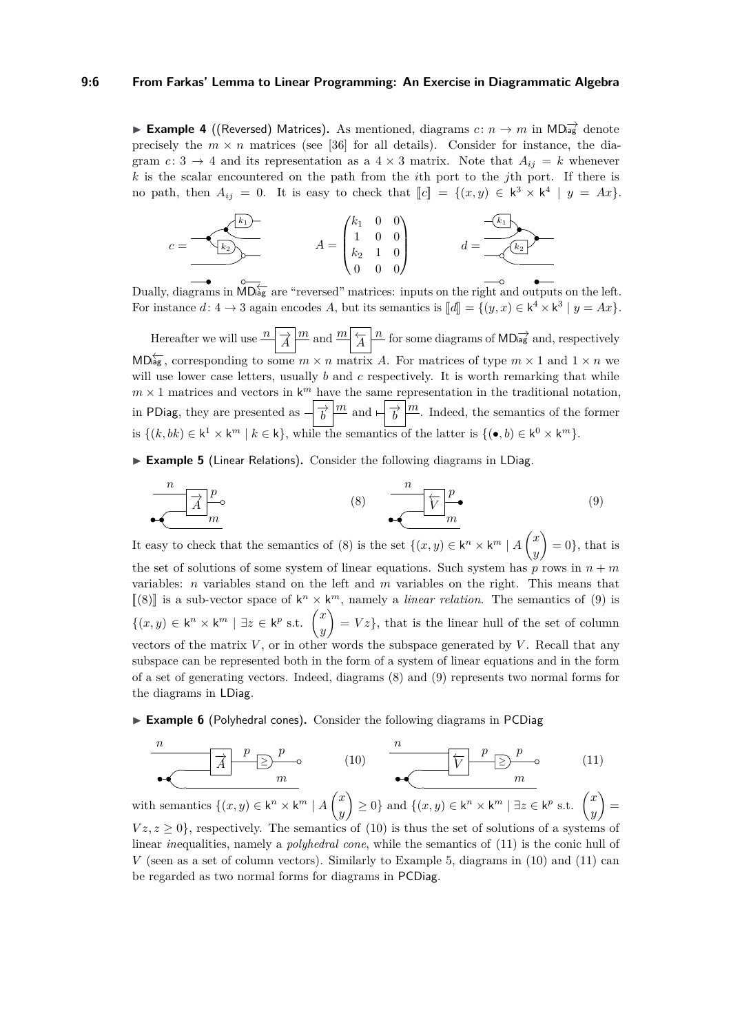#### **9:6 From Farkas' Lemma to Linear Programming: An Exercise in Diagrammatic Algebra**

**Example 4** ((Reversed) Matrices). As mentioned, diagrams  $c: n \rightarrow m$  in MD<sub>iag</sub><sup>→</sup> denote precisely the  $m \times n$  matrices (see [\[36\]](#page-17-0) for all details). Consider for instance, the diagram *c*: 3  $\rightarrow$  4 and its representation as a 4 × 3 matrix. Note that  $A_{ij} = k$  whenever *k* is the scalar encountered on the path from the *i*th port to the *j*th port. If there is no path, then  $A_{ij} = 0$ . It is easy to check that  $\llbracket c \rrbracket = \{(x, y) \in \mathsf{k}^3 \times \mathsf{k}^4 \mid y = Ax\}.$ 

$$
c = \underbrace{\begin{pmatrix} k_1 \\ k_2 \end{pmatrix}}_{\begin{subarray}{c} k_1 \\ k_2 \end{subarray}} \qquad A = \begin{pmatrix} k_1 & 0 & 0 \\ 1 & 0 & 0 \\ k_2 & 1 & 0 \\ 0 & 0 & 0 \end{pmatrix} \qquad d = \underbrace{\begin{pmatrix} k_1 \\ k_2 \end{pmatrix}}_{\begin{subarray}{c} k_1 \\ k_2 \end{subarray}}
$$

Dually, diagrams in  $\overline{\text{MD}_{\text{agg}}}$  are "reversed" matrices: inputs on the right and outputs on the left. For instance  $d: 4 \to 3$  again encodes  $A$ , but its semantics is  $[[d]] = \{(y, x) \in \mathsf{k}^4 \times \mathsf{k}^3 \mid y = Ax\}.$ 

Hereafter we will use  $\frac{n}{A} \left| \frac{m}{A} \right| \frac{m}{A} \left| \frac{n}{A} \right|$  for some diagrams of MD<sub>iag</sub><sup>+</sup> and, respectively  $MD_{\text{agg}}^{\leftarrow}$ , corresponding to some  $m \times n$  matrix *A*. For matrices of type  $m \times 1$  and  $1 \times n$  we will use lower case letters, usually *b* and *c* respectively. It is worth remarking that while  $m \times 1$  matrices and vectors in  $k^m$  have the same representation in the traditional notation, in PDiag, they are presented as  $-\frac{1}{b}\left|\frac{m}{b}\right|$  and  $-\frac{1}{b}\left|\frac{m}{c}\right|$ . Indeed, the semantics of the former is  $\{(k, bk) \in k^1 \times k^m \mid k \in k\}$ , while the semantics of the latter is  $\{(\bullet, b) \in k^0 \times k^m\}$ .

<span id="page-5-5"></span><span id="page-5-1"></span>▶ **Example 5** (Linear Relations). Consider the following diagrams in LDiag.

<span id="page-5-2"></span>
$$
\begin{array}{c|c}\n n \\
 \hline\n n\n\end{array}
$$
\n
$$
(8) \quad\n\begin{array}{c}\n n \\
 \hline\n \hline\n \hline\n \hline\n m\n\end{array}
$$
\n
$$
(9)
$$

It easy to check that the semantics of [\(8\)](#page-5-1) is the set  $\{(x, y) \in \mathsf{k}^n \times \mathsf{k}^m \mid A\}$ *y*  $= 0$ , that is the set of solutions of some system of linear equations. Such system has  $p$  rows in  $n + m$ variables: *n* variables stand on the left and *m* variables on the right. This means that  $\llbracket (8) \rrbracket$  $\llbracket (8) \rrbracket$  $\llbracket (8) \rrbracket$  is a sub-vector space of  $k^n \times k^m$ , namely a *linear relation*. The semantics of [\(9\)](#page-5-2) is  ${(x, y) ∈ k<sup>n</sup> × k<sup>m</sup> | ∃z ∈ k<sup>p</sup> s.t. (x<sup>p</sup>)}$ *y*  $= Vz$ , that is the linear hull of the set of column vectors of the matrix  $V$ , or in other words the subspace generated by  $V$ . Recall that any subspace can be represented both in the form of a system of linear equations and in the form of a set of generating vectors. Indeed, diagrams [\(8\)](#page-5-1) and [\(9\)](#page-5-2) represents two normal forms for the diagrams in LDiag.

<span id="page-5-3"></span>▶ **Example 6** (Polyhedral cones). Consider the following diagrams in PCDiag

<span id="page-5-4"></span>−→*<sup>A</sup>* <sup>≥</sup> *n p m p* (10) ←− *V* ≥ *n p m p* (11)

with semantics  $\{(x, y) \in \mathsf{k}^n \times \mathsf{k}^m \mid A\}$ *y*  $\left\{ \geq 0 \right\}$  and  $\left\{ (x, y) \in \mathsf{k}^n \times \mathsf{k}^m \mid \exists z \in \mathsf{k}^p \text{ s.t. } \right\}^x$ *y*  $\hat{ }$  =  $V_1(z, z)$  > 0}, respectively. The semantics of [\(10\)](#page-5-3) is thus the set of solutions of a systems of linear *in*equalities, namely a *polyhedral cone*, while the semantics of [\(11\)](#page-5-4) is the conic hull of

<span id="page-5-0"></span> $V$  (seen as a set of column vectors). Similarly to Example [5,](#page-5-5) diagrams in  $(10)$  and  $(11)$  can be regarded as two normal forms for diagrams in PCDiag.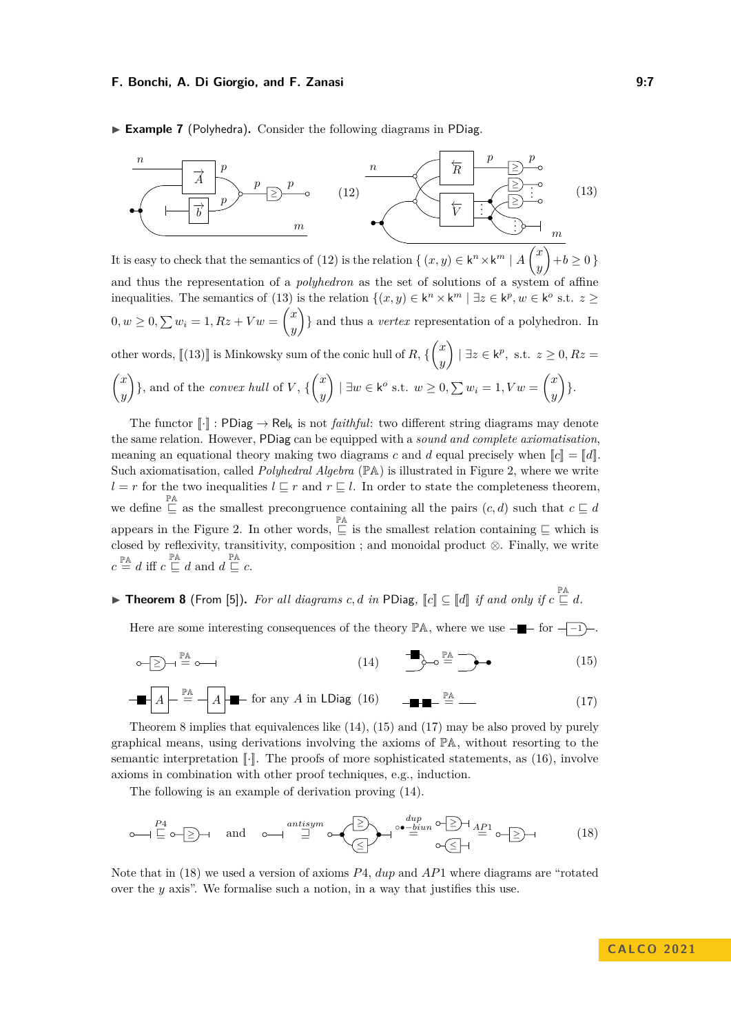▶ **Example 7** (Polyhedra). Consider the following diagrams in PDiag.

<span id="page-6-1"></span><span id="page-6-0"></span>

It is easy to check that the semantics of [\(12\)](#page-6-0) is the relation  $\{(x, y) \in \mathsf{k}^n \times \mathsf{k}^m \mid A\}$  $\sqrt{2}$ *x y* L.  $+b \geq 0$ and thus the representation of a *polyhedron* as the set of solutions of a system of affine inequalities. The semantics of [\(13\)](#page-6-1) is the relation  $\{(x, y) \in \mathsf{k}^n \times \mathsf{k}^m \mid \exists z \in \mathsf{k}^p, w \in \mathsf{k}^o \text{ s.t. } z \geq 0\}$  $0, w \ge 0, \sum w_i = 1, Rz + Vw = \binom{x}{y}$ *y* } and thus a *vertex* representation of a polyhedron. In other words,  $\llbracket (13) \rrbracket$  $\llbracket (13) \rrbracket$  $\llbracket (13) \rrbracket$  is Minkowsky sum of the conic hull of  $R$ ,  $\{\binom{x}{y}$ *y*  $\Big\}$   $\Big| \exists z \in \mathsf{k}^p, \text{ s.t. } z \geq 0, Rz =$  *x y*  $\}$ , and of the *convex hull* of *V*,  $\{x\}$ *y*  $\left( \frac{1}{2}w \in k^{\circ} \text{ s.t. } w \geq 0, \sum w_i = 1, Vw = \begin{pmatrix} x \\ w \end{pmatrix} \right)$ *y*  $\bigg)$ .

The functor  $\llbracket \cdot \rrbracket$ : PDiag  $\rightarrow$  Rel<sub>k</sub> is not *faithful*: two different string diagrams may denote the same relation. However, PDiag can be equipped with a *sound and complete axiomatisation*, meaning an equational theory making two diagrams *c* and *d* equal precisely when  $\llbracket c \rrbracket = \llbracket d \rrbracket$ . Such axiomatisation, called *Polyhedral Algebra* ( $\mathbb{P}$ A) is illustrated in Figure [2,](#page-7-0) where we write *l* = *r* for the two inequalities  $l ⊆ r$  and  $r ⊆ l$ . In order to state the completeness theorem, we define  $\subseteq$  as the smallest precongruence containing all the pairs  $(c, d)$  such that  $c \subseteq d$ appears in the Figure [2.](#page-7-0) In other words,  $\subseteq^{\mathbb{P} \mathbb{A}}$  is the smallest relation containing  $\subseteq$  which is closed by reflexivity, transitivity, composition ; and monoidal product ⊗. Finally, we write  $c \stackrel{\mathbb{P} \mathbb{A}}{=} d$  iff  $c \stackrel{\mathbb{P} \mathbb{A}}{=} d$  and  $d \stackrel{\mathbb{P} \mathbb{A}}{=} c$ .

# <span id="page-6-2"></span>▶ **Theorem 8** (From [\[5\]](#page-15-8)). For all diagrams  $c, d$  in PDiag,  $\llbracket c \rrbracket \subseteq \llbracket d \rrbracket$  if and only if  $c \sqsubseteq d$ .

<span id="page-6-3"></span>Here are some interesting consequences of the theory PA, where we use  $-\bullet$  for  $\overline{-1}$ .

<span id="page-6-5"></span><span id="page-6-4"></span>
$$
\circ \quad \bullet \quad \text{and} \quad \bullet \quad \text{and} \quad \bullet \quad \text{and} \quad \bullet \quad \text{and} \quad \bullet \quad \text{and} \quad \bullet \quad \text{and} \quad \bullet \quad \text{and} \quad \bullet \quad \text{and} \quad \bullet \quad \text{and} \quad \bullet \quad \text{and} \quad \bullet \quad \text{and} \quad \bullet \quad \text{and} \quad \bullet \quad \text{and} \quad \bullet \quad \text{and} \quad \bullet \quad \text{and} \quad \bullet \quad \text{and} \quad \bullet \quad \text{and} \quad \bullet \quad \text{and} \quad \bullet \quad \text{and} \quad \bullet \quad \text{and} \quad \bullet \quad \text{and} \quad \bullet \quad \text{and} \quad \bullet \quad \text{and} \quad \bullet \quad \text{and} \quad \bullet \quad \text{and} \quad \bullet \quad \text{and} \quad \bullet \quad \text{and} \quad \bullet \quad \text{and} \quad \bullet \quad \text{and} \quad \bullet \quad \text{and} \quad \bullet \quad \text{and} \quad \bullet \quad \text{and} \quad \bullet \quad \text{and} \quad \bullet \quad \text{and} \quad \bullet \quad \text{and} \quad \bullet \quad \text{and} \quad \bullet \quad \text{and} \quad \bullet \quad \text{and} \quad \bullet \quad \text{and} \quad \bullet \quad \text{and} \quad \bullet \quad \text{and} \quad \bullet \quad \text{and} \quad \bullet \quad \text{and} \quad \bullet \quad \text{and} \quad \bullet \quad \text{and} \quad \bullet \quad \text{and} \quad \bullet \quad \text{and} \quad \bullet \quad \text{and} \quad \bullet \quad \text{and} \quad \bullet \quad \text{and} \quad \bullet \quad \text{and} \quad \bullet \quad \text{and} \quad \bullet \quad \text{and} \quad \bullet \quad \text{and} \quad \bullet \quad \text{and} \quad \bullet \quad \text{and} \quad \bullet \quad \text{and} \quad \bullet \quad \text{and} \quad \bullet \quad \text{and} \quad \bullet \quad \text{and} \quad \bullet \quad \text{and} \quad \bullet \quad \text{and} \quad \bullet \quad \text{and} \quad \bullet \quad \text{and} \quad \bullet \quad \text{and} \quad \bullet \quad \text{and} \quad \bullet \quad \text{and} \quad \bullet \quad \text{and} \quad \bullet \quad \text{and
$$

<span id="page-6-6"></span>
$$
\blacksquare A \vdash \stackrel{\mathbb{P}A}{=} \neg A \blacktriangleright \blacksquare \text{ for any } A \text{ in } \mathsf{LDiag} \ (16) \qquad \blacksquare \blacksquare \vdash \stackrel{\mathbb{P}A}{=} \square
$$
 (17)

Theorem [8](#page-6-2) implies that equivalences like [\(14\)](#page-6-3), [\(15\)](#page-6-4) and [\(17\)](#page-6-5) may be also proved by purely graphical means, using derivations involving the axioms of  $\mathbb{P} \mathbb{A}$ , without resorting to the semantic interpretation  $\lceil \cdot \rceil$ . The proofs of more sophisticated statements, as [\(16\)](#page-6-6), involve axioms in combination with other proof techniques, e.g., induction.

<span id="page-6-7"></span>The following is an example of derivation proving [\(14\)](#page-6-3).

$$
\circ \longrightarrow \Xi \circ \Xi \rightarrow \text{ and } \circ \longrightarrow \Xi \circ \left(\Xi \right) \rightarrow \circ \left(\Xi \right) \rightarrow \left(\Xi \right) \rightarrow \Xi
$$
\n
$$
\circ \left(\Xi \right) \rightarrow \left(\Xi \right) \rightarrow \left(\Xi \right) \rightarrow \Xi
$$
\n
$$
\circ \left(\Xi \right) \rightarrow \Xi
$$
\n
$$
\circ \left(\Xi \right) \rightarrow \Xi
$$
\n
$$
\circ \left(\Xi \right) \rightarrow \Xi
$$
\n
$$
(18)
$$

<span id="page-6-8"></span>Note that in [\(18\)](#page-6-7) we used a version of axioms *P*4, *dup* and *AP*1 where diagrams are "rotated over the *y* axis". We formalise such a notion, in a way that justifies this use.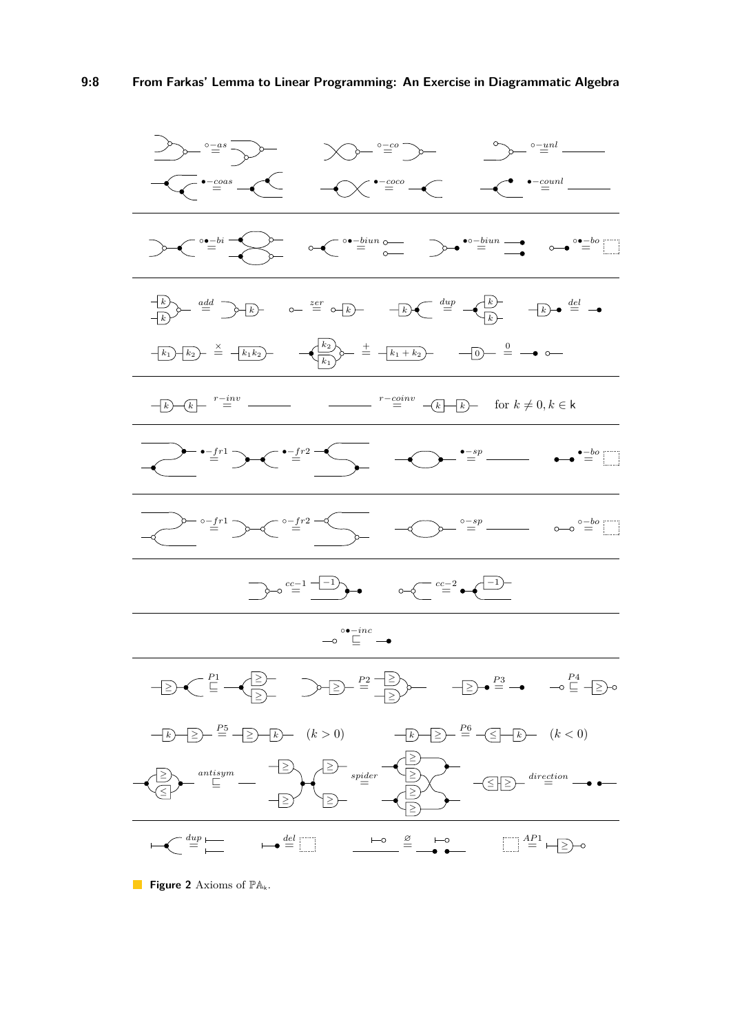<span id="page-7-0"></span>

**Figure 2** Axioms of  $\mathbb{P}\mathbb{A}_k$ .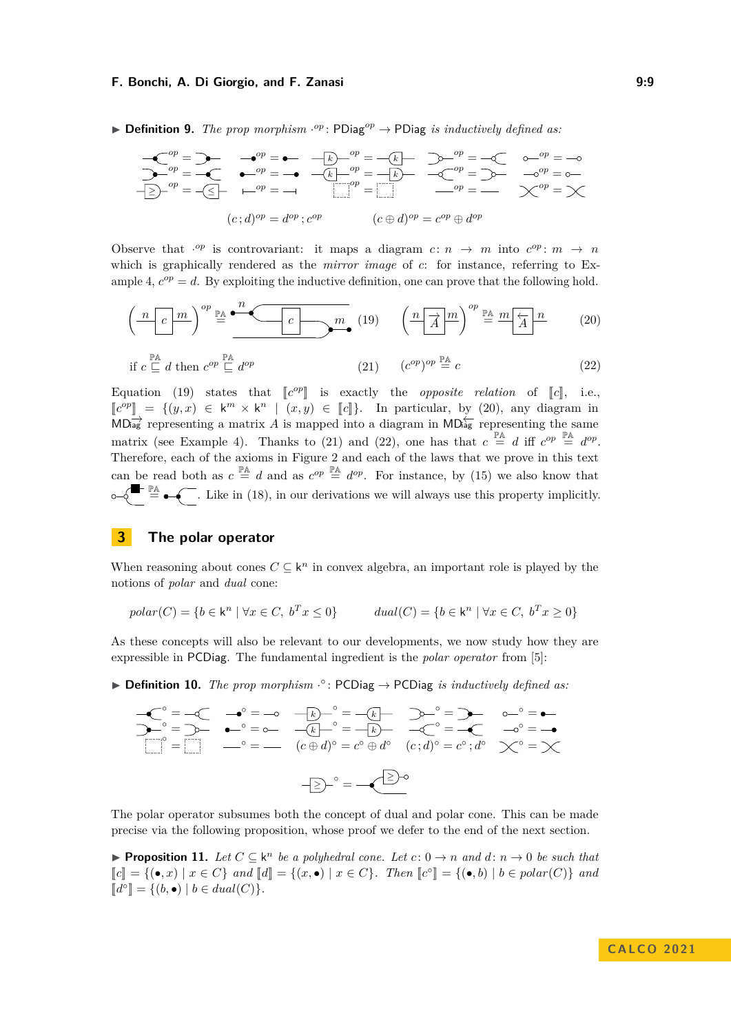▶ **Definition 9.** *The prop morphism*  $·$ <sup>*op*</sup> : PDiag<sup>*op*</sup> → PDiag *is inductively defined as:* 

$$
e^{op} = e^{-op} = e^{-e^{-p}} - e^{-ip} = -e^{-ip} - e^{-ip} = -e^{-ip} - e^{-ip} = -e^{-ip} - e^{-ip} = -e^{-ip} - e^{-ip} = -e^{-ip} - e^{-ip} = -e^{-ip} - e^{-ip} = -e^{-ip} - e^{-ip} = -e^{-ip} - e^{-ip} = -e^{-ip} - e^{-ip} = -e^{-ip} - e^{-ip} = -e^{-ip} - e^{-ip} = -e^{-ip} - e^{-ip} = -e^{-ip} - e^{-ip} = -e^{-ip} - e^{-ip} = -e^{-ip} - e^{-ip} = -e^{-ip} - e^{-ip} = -e^{-ip} - e^{-ip} = -e^{-ip} - e^{-ip} = -e^{-ip} - e^{-ip} = -e^{-ip} - e^{-ip} = -e^{-ip} - e^{-ip} = -e^{-ip} - e^{-ip} = -e^{-ip} - e^{-ip} = -e^{-ip} - e^{-ip} = -e^{-ip} - e^{-ip} = -e^{-ip} - e^{-ip} = -e^{-ip} - e^{-ip} = -e^{-ip} - e^{-ip} = -e^{-ip} - e^{-ip} = -e^{-ip} - e^{-ip} = -e^{-ip} - e^{-ip} = -e^{-ip} - e^{-ip} = -e^{-ip} - e^{-ip} = -e^{-ip} - e^{-ip} = -e^{-ip} - e^{-ip} = -e^{-ip} = -e^{-ip} - e^{-ip} = -e^{-ip} = -e^{-ip} - e^{-ip} = -e^{-ip} = -e^{-ip} = -e^{-ip} = -e^{-ip} = -e^{-ip} = -e^{-ip} = -e^{-ip} = -e^{-ip} = -e^{-ip} = -e^{-ip} = -e^{-ip} = -e^{-ip} = -e^{-ip} = -e^{-ip} = -e^{-ip} = -e^{-ip} = -e^{-ip} = -e^{-ip} = -e^{-ip} = -e^{-ip} = -e^{-ip} = -e^{-ip} = -e^{-ip} = -e^{-ip} = -e^{-ip} = -e^{-ip} = -e^{-ip} = -e^{-ip} = -e^{-ip} = -e^{-ip} = -e^{-ip} = -e^{-ip} = -e^{-ip} = -e^{-ip} = -e^{-ip} = -e^{-ip} = -e^{-ip} = -e^{-ip} = -e^{-ip} = -e^{-ip} = -e^{-ip} = -e^{-ip} = -e^{-ip} = -e^{-ip} = -e^{-ip} = -e^{-ip} = -e^{-ip} = -e^{-ip} = -e^{-ip} = -e^{-ip} = -e^{-ip} = -e^{-ip} = -e^{-ip} =
$$

Observe that  $\cdot^{op}$  is controvariant: it maps a diagram  $c: n \rightarrow m$  into  $c^{op}: m \rightarrow n$ which is graphically rendered as the *mirror image* of *c*: for instance, referring to Ex-ample [4,](#page-4-0)  $c^{op} = d$ . By exploiting the inductive definition, one can prove that the following hold.

<span id="page-8-2"></span><span id="page-8-1"></span>
$$
\left(\frac{n}{c}\right)^{op} \stackrel{\mathbb{P}A}{=} \underbrace{\bullet^n \left(\frac{n}{c}\right)^{op}}_{\bullet} \quad (19) \qquad \left(\frac{n}{\overrightarrow{A}}\right)^{op} \stackrel{\mathbb{P}A}{=} \frac{m}{\overrightarrow{A}} \frac{n}{\overrightarrow{A}} \qquad (20)
$$

<span id="page-8-4"></span><span id="page-8-3"></span>if 
$$
c \sqsubseteq d
$$
 then  $c^{op} \sqsubseteq d^{op}$   $(21)$   $(c^{op})^{op} \sqsubseteq c$   $(22)$ 

Equation [\(19\)](#page-8-1) states that  $\llbracket c^{op} \rrbracket$  is exactly the *opposite relation* of  $\llbracket c \rrbracket$ , i.e.,  $\llbracket c \rrbracket$ ,  $\llbracket c \rrbracket$ ,  $\llbracket c \rrbracket$ ,  $\llbracket c \rrbracket$ ,  $\llbracket c \rrbracket$ ,  $\llbracket c \rrbracket$ ,  $\llbracket c \rrbracket$ ,  $\llbracket c \rrbracket$ ,  $\llbracket c \rrbracket$ ,  $\llbracket c$  $\llbracket c^{op} \rrbracket = \{(y, x) \in \mathbf{k}^m \times \mathbf{k}^n \mid (x, y) \in \llbracket c \rrbracket \}$ . In particular, by [\(20\)](#page-8-2), any diagram in  $\mathbf{M} \rightarrow \mathbf{M}$  $MD_{\text{agg}}^{\rightarrow}$  representing a matrix *A* is mapped into a diagram in MD $_{\text{agg}}^{\rightarrow}$  representing the same matrix (see Example [4\)](#page-4-0). Thanks to [\(21\)](#page-8-3) and [\(22\)](#page-8-4), one has that  $c \stackrel{\mathbb{P} \mathbb{A}}{=} d$  iff  $c^{op} \stackrel{\mathbb{P} \mathbb{A}}{=} d^{op}$ . Therefore, each of the axioms in Figure [2](#page-7-0) and each of the laws that we prove in this text can be read both as  $c \stackrel{\mathbb{P}A}{=} d$  and as  $c^{op} \stackrel{\mathbb{P}A}{=} d^{op}$ . For instance, by [\(15\)](#page-6-4) we also know that  $\stackrel{\mathbb{P}^A}{=}$  . Like in [\(18\)](#page-6-7), in our derivations we will always use this property implicitly.

## <span id="page-8-0"></span>**3 The polar operator**

When reasoning about cones  $C \subseteq \mathsf{k}^n$  in convex algebra, an important role is played by the notions of *polar* and *dual* cone:

$$
polar(C) = \{b \in \mathsf{k}^n \mid \forall x \in C, \ b^T x \le 0\} \qquad dual(C) = \{b \in \mathsf{k}^n \mid \forall x \in C, \ b^T x \ge 0\}
$$

As these concepts will also be relevant to our developments, we now study how they are expressible in PCDiag. The fundamental ingredient is the *polar operator* from [\[5\]](#page-15-8):

<span id="page-8-6"></span>▶ **Definition 10.** *The prop morphism* · ◦ : PCDiag → PCDiag *is inductively defined as:*

$$
-\mathcal{C}^{\circ} = -\mathcal{C} \qquad \rightarrow^{\circ} = -\circ \qquad -\mathcal{L} \rightarrow^{\circ} = -\mathcal{L} \qquad \rightarrow^{\circ} = -\circ \qquad -\mathcal{L} \rightarrow^{\circ} = -\mathcal{L} \qquad \rightarrow^{\circ} = -\circ \qquad -\mathcal{L} \rightarrow^{\circ} = -\mathcal{L} \qquad \rightarrow^{\circ} = -\bullet \qquad \rightarrow^{\circ} = -\bullet \qquad -\circ^{\circ} = -\bullet \qquad \rightarrow^{\circ} = -\bullet \qquad \rightarrow^{\circ} = -\bullet \qquad \rightarrow^{\circ} = -\bullet \qquad \rightarrow^{\circ} = -\bullet \qquad \rightarrow^{\circ} = -\bullet \qquad \rightarrow^{\circ} = -\bullet \qquad \rightarrow^{\circ} = -\bullet \qquad \rightarrow^{\circ} = -\bullet \qquad \rightarrow^{\circ} = -\bullet \qquad \rightarrow^{\circ} = -\bullet \qquad \rightarrow^{\circ} = -\bullet \qquad \rightarrow^{\circ} = -\bullet \qquad \rightarrow^{\circ} = -\bullet \qquad \rightarrow^{\circ} = -\bullet \qquad \rightarrow^{\circ} = -\bullet \qquad \rightarrow^{\circ} = -\bullet \qquad \rightarrow^{\circ} = -\bullet \qquad \rightarrow^{\circ} = -\bullet \qquad \rightarrow^{\circ} = -\bullet \qquad \rightarrow^{\circ} = -\bullet \qquad \rightarrow^{\circ} = -\bullet \qquad \rightarrow^{\circ} = -\bullet \qquad \rightarrow^{\circ} = -\bullet \qquad \rightarrow^{\circ} = -\bullet \qquad \rightarrow^{\circ} = -\bullet \qquad \rightarrow^{\circ} = -\bullet \qquad \rightarrow^{\circ} = -\bullet \qquad \rightarrow^{\circ} = -\bullet \qquad \rightarrow^{\circ} = -\bullet \qquad \rightarrow^{\circ} = -\bullet \qquad \rightarrow^{\circ} = -\bullet \qquad \rightarrow^{\circ} = -\bullet \qquad \rightarrow^{\circ} = -\bullet \qquad \rightarrow^{\circ} = -\bullet \qquad \rightarrow^{\circ} = -\bullet \qquad \rightarrow^{\circ} = -\bullet \qquad \rightarrow^{\circ} = -\bullet \qquad \rightarrow^{\circ} = -\bullet \qquad \rightarrow^{\circ} = -\bullet \qquad \rightarrow^{\circ} = -\bullet \qquad \rightarrow^{\circ} = -\bullet \qquad \rightarrow^{\circ} = -\bullet \qquad \rightarrow^{\circ} = -\bullet \qquad \rightarrow^{\circ} = -\bullet \qquad \rightarrow^{\circ} = -\bullet \qquad \rightarrow
$$

The polar operator subsumes both the concept of dual and polar cone. This can be made precise via the following proposition, whose proof we defer to the end of the next section.

<span id="page-8-5"></span>▶ **Proposition 11.** *Let*  $C \subseteq \mathsf{k}^n$  *be a polyhedral cone. Let*  $c: 0 \rightarrow n$  *and*  $d: n \rightarrow 0$  *be such that*  $\llbracket c \rrbracket = \{ (\bullet, x) \mid x \in C \}$  and  $\llbracket d \rrbracket = \{ (x, \bullet) \mid x \in C \}$ . Then  $\llbracket c^{\circ} \rrbracket = \{ (\bullet, b) \mid b \in polar(C) \}$  and  $[[d^{\circ}]] = \{(b, \bullet) | b \in dual(C)\}.$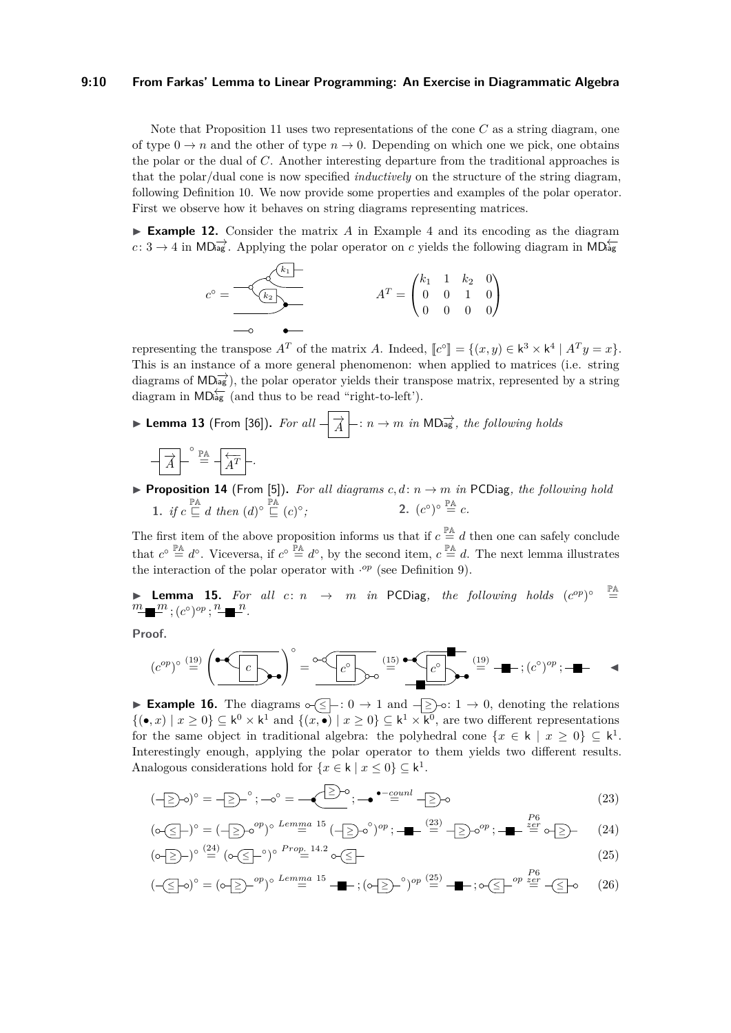#### **9:10 From Farkas' Lemma to Linear Programming: An Exercise in Diagrammatic Algebra**

Note that Proposition [11](#page-8-5) uses two representations of the cone *C* as a string diagram, one of type  $0 \to n$  and the other of type  $n \to 0$ . Depending on which one we pick, one obtains the polar or the dual of *C*. Another interesting departure from the traditional approaches is that the polar/dual cone is now specified *inductively* on the structure of the string diagram, following Definition [10.](#page-8-6) We now provide some properties and examples of the polar operator. First we observe how it behaves on string diagrams representing matrices.

▶ **Example 12.** Consider the matrix *A* in Example [4](#page-4-0) and its encoding as the diagram *c*: 3 → 4 in MD $\overrightarrow{ab}$ . Applying the polar operator on *c* yields the following diagram in MD $\overleftarrow{ab}$ 

$$
c^{\circ} = \underbrace{-\diamondsuit \diamondsuit \diamondsuit \diamondsuit}_{\text{---} \diamond \bullet \text{---}} \qquad A^T = \begin{pmatrix} k_1 & 1 & k_2 & 0 \\ 0 & 0 & 1 & 0 \\ 0 & 0 & 0 & 0 \end{pmatrix}
$$

representing the transpose  $A^T$  of the matrix *A*. Indeed,  $[\![c^{\circ}]\!] = \{(x, y) \in k^3 \times k^4 \mid A^T y = x\}.$ <br>This is an instance of a mana general phanomenon, when applied to matrices *(i.e., string*) This is an instance of a more general phenomenon: when applied to matrices (i.e. string diagrams of  $MD\overrightarrow{ag}$ , the polar operator yields their transpose matrix, represented by a string diagram in  $MD_{ag}^{/-}$  (and thus to be read "right-to-left").

<span id="page-9-5"></span>▶ **Lemma 13** (From [\[36\]](#page-17-0)). For all  $\frac{1}{\sqrt{A}}$ :  $n \to m$  in MD<sub>iag</sub>, the following holds

$$
\boxed{\overrightarrow{A}}^{-\circ} \stackrel{\mathbb{P}\mathbb{A}}{=} \boxed{\overleftarrow{A^T}}.
$$

<span id="page-9-3"></span>**• Proposition 14** (From [\[5\]](#page-15-8)). For all diagrams  $c, d: n \rightarrow m$  in PCDiag, the following hold 1. *if*  $c \sqsubseteq d$  *then*  $(d)^\circ \sqsubseteq (c)^\circ$ ;  $2. (c^{\circ})^{\circ} \stackrel{\mathbb{P} \mathbb{A}}{=} c.$ 

The first item of the above proposition informs us that if  $c \stackrel{\mathbb{P}A}{=} d$  then one can safely conclude that  $c^{\circ} \stackrel{\mathbb{P} \mathbb{A}}{=} d^{\circ}$ . Viceversa, if  $c^{\circ} \stackrel{\mathbb{P} \mathbb{A}}{=} d^{\circ}$ , by the second item,  $c \stackrel{\mathbb{P} \mathbb{A}}{=} d$ . The next lemma illustrates the interaction of the polar operator with  $\cdot^{op}$  (see Definition [9\)](#page-6-8).

<span id="page-9-0"></span>▶ Lemma 15. For all  $c: n \rightarrow m$  in PCDiag, the following holds  $(c^{op})^{\circ} \stackrel{\mathbb{P}^{\mathbb{A}}}{=}$  $\frac{m}{\sqrt{m}}$ ;  $(c^{\circ})^{op}$ ;  $\frac{n}{\sqrt{m}}$ .

**Proof.**

(*c op*) ◦ [\(19\)](#page-8-1) = *c* !◦ = *c* ◦ [\(15\)](#page-6-4) = *c* ◦ [\(19\)](#page-8-1) = ; (*c* ◦ ) *op* ; ◀

**► Example 16.** The diagrams  $\circ$   $\leq$   $\vdash$  : 0  $\to$  1 and  $\leq$   $\geq$   $\circ$  : 1  $\to$  0, denoting the relations  $\{(\bullet, x) \mid x \geq 0\} \subseteq \mathsf{k}^0 \times \mathsf{k}^1$  and  $\{(x, \bullet) \mid x \geq 0\} \subseteq \mathsf{k}^1 \times \mathsf{k}^0$ , are two different representations for the same object in traditional algebra: the polyhedral cone  $\{x \in \mathsf{k} \mid x \geq 0\} \subseteq \mathsf{k}^1$ . Interestingly enough, applying the polar operator to them yields two different results. Analogous considerations hold for  $\{x \in \mathsf{k} \mid x \leq 0\} \subseteq \mathsf{k}^1$ .

<span id="page-9-1"></span>
$$
(-\geq) \circ = -\geq)^{\circ}; -\circ^{\circ} = -\underbrace{\geq}^{\geq} \circ; -\bullet^{\bullet - \underline{c} \underline{u} \underline{n} \underline{l}} \cdot \geq) \circ
$$
\n
$$
\qquad (23)
$$

<span id="page-9-2"></span>
$$
(\circ \leq -)^{\circ} = (-\geq) \circ^{op})^{\circ} \stackrel{Lemma \ 15}{=} (-\geq) \circ^{\circ})^{op}; \quad \blacksquare \stackrel{(23)}{=} -\geq) \circ^{op}; \quad \blacksquare \stackrel{P6}{=} \circ \geq - \quad (24)
$$

<span id="page-9-4"></span>
$$
(\circ \text{S})^{\circ} \stackrel{(24)}{=} (\circ \text{S})^{\circ} \stackrel{Prop. 14.2}{=} \circ \text{S}
$$
\n
$$
(25)
$$

<span id="page-9-6"></span>
$$
(-\leq -\circ)^\circ = (\circ - \geq)^{-op})^\circ \stackrel{Lemma \ 15}{=} -\bullet \quad ; (\circ - \geq)^{-\circ})^{op} \stackrel{(25)}{=} -\bullet \quad ; \circ \geq)^{-op} \stackrel{For}{=} -\leq -\circ \quad (26)
$$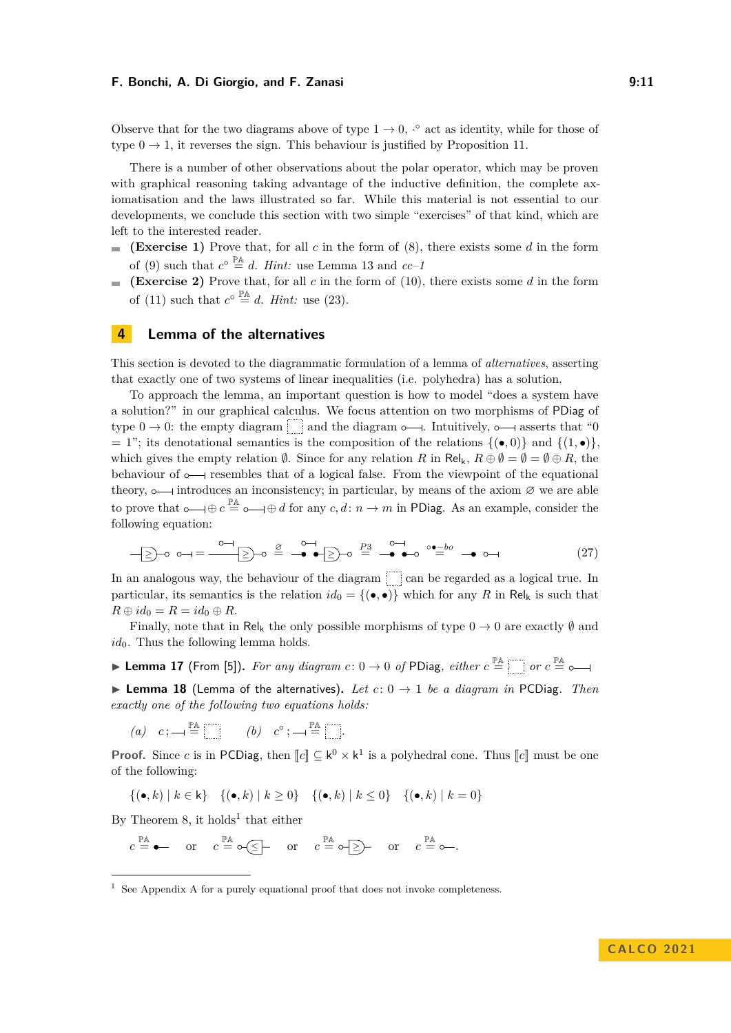Observe that for the two diagrams above of type  $1 \rightarrow 0$ ,  $\cdot^{\circ}$  act as identity, while for those of type  $0 \rightarrow 1$ , it reverses the sign. This behaviour is justified by Proposition [11.](#page-8-5)

There is a number of other observations about the polar operator, which may be proven with graphical reasoning taking advantage of the inductive definition, the complete axiomatisation and the laws illustrated so far. While this material is not essential to our developments, we conclude this section with two simple "exercises" of that kind, which are left to the interested reader.

- **(Exercise 1)** Prove that, for all *c* in the form of [\(8\)](#page-5-1), there exists some *d* in the form ÷. of [\(9\)](#page-5-2) such that  $c^{\circ} \stackrel{\mathbb{P} \mathbb{A}}{=} d$ . *Hint*: use Lemma [13](#page-9-5) and  $cc-1$
- **(Exercise 2)** Prove that, for all  $c$  in the form of [\(10\)](#page-5-3), there exists some  $d$  in the form of [\(11\)](#page-5-4) such that  $c^{\circ} \stackrel{\mathbb{P} \mathbb{A}}{=} d$ . *Hint:* use [\(23\)](#page-9-1).

## <span id="page-10-0"></span>**4 Lemma of the alternatives**

This section is devoted to the diagrammatic formulation of a lemma of *alternatives*, asserting that exactly one of two systems of linear inequalities (i.e. polyhedra) has a solution.

To approach the lemma, an important question is how to model "does a system have a solution?" in our graphical calculus. We focus attention on two morphisms of PDiag of type  $0 \to 0$ : the empty diagram and the diagram  $\sim$ . Intuitively,  $\sim$  asserts that "0  $= 1$ "; its denotational semantics is the composition of the relations  $\{(\bullet, 0)\}$  and  $\{(1, \bullet)\}$ . which gives the empty relation  $\emptyset$ . Since for any relation *R* in Rel<sub>k</sub>,  $R \oplus \emptyset = \emptyset = \emptyset \oplus R$ , the behaviour of  $\sim$  resembles that of a logical false. From the viewpoint of the equational theory,  $\circ$  introduces an inconsistency; in particular, by means of the axiom  $\varnothing$  we are able to prove that  $\circ \longrightarrow \oplus c \stackrel{\mathbb{P} \mathbb{A}}{=} \circ \longrightarrow \oplus d$  for any  $c, d \colon n \to m$  in PDiag. As an example, consider the following equation:

<span id="page-10-3"></span>
$$
-\underline{\geq}\rightarrow o \quad \longrightarrow = \frac{0}{\underline{\geq}}\rightarrow o \stackrel{\underline{\beta}}{=} \stackrel{0}{\longrightarrow} \bullet \underline{\geq}\rightarrow o \stackrel{P3}{=} \stackrel{0}{\longrightarrow} \bullet o \stackrel{0}{=} \stackrel{0}{\longrightarrow} \bullet o \longrightarrow \tag{27}
$$

In an analogous way, the behaviour of the diagram  $\Box$  can be regarded as a logical true. In particular, its semantics is the relation  $id_0 = \{(\bullet, \bullet)\}\$  which for any *R* in Rel<sub>k</sub> is such that  $R \oplus id_0 = R = id_0 \oplus R.$ 

Finally, note that in Rel<sub>k</sub> the only possible morphisms of type  $0 \to 0$  are exactly  $\emptyset$  and  $id_0$ . Thus the following lemma holds.

▶ Lemma 17 (From [\[5\]](#page-15-8)). For any diagram  $c: 0 \rightarrow 0$  of PDiag, either  $c \stackrel{\mathbb{P}A}{=}$  or  $c \stackrel{\mathbb{P}A}{=}$ 

<span id="page-10-2"></span>▶ **Lemma 18** (Lemma of the alternatives). Let  $c: 0 \rightarrow 1$  be a diagram in PCDiag. Then *exactly one of the following two equations holds:*

*(a)*  $c: \longrightarrow \stackrel{\mathbb{P}\mathbb{A}}{=}$   $\begin{bmatrix} 0 & c^{\circ} \\ \end{bmatrix} \longrightarrow \stackrel{\mathbb{P}\mathbb{A}}{=}$   $\begin{bmatrix} \cdots \\ \cdots \end{bmatrix}$ 

**Proof.** Since *c* is in PCDiag, then  $\llbracket c \rrbracket \subseteq \mathsf{k}^0 \times \mathsf{k}^1$  is a polyhedral cone. Thus  $\llbracket c \rrbracket$  must be one of the following:

$$
\{(\bullet, k) \mid k \in \mathsf{k}\} \quad \{(\bullet, k) \mid k \ge 0\} \quad \{(\bullet, k) \mid k \le 0\} \quad \{(\bullet, k) \mid k = 0\}
$$

By Theorem [8,](#page-6-2) it holds<sup>[1](#page-10-1)</sup> that either

l,

$$
c \stackrel{\mathbb{P}A}{=} \bullet
$$
 or  $c \stackrel{\mathbb{P}A}{=} \circ \text{ or } c \stackrel{\mathbb{P}A}{=} \circ \text{ or } c \stackrel{\mathbb{P}A}{=} \circ \text{ or } c \stackrel{\mathbb{P}A}{=} \circ \text{ or } c$ 

<span id="page-10-1"></span> $1$  See [A](#page-17-4)ppendix A for a purely equational proof that does not invoke completeness.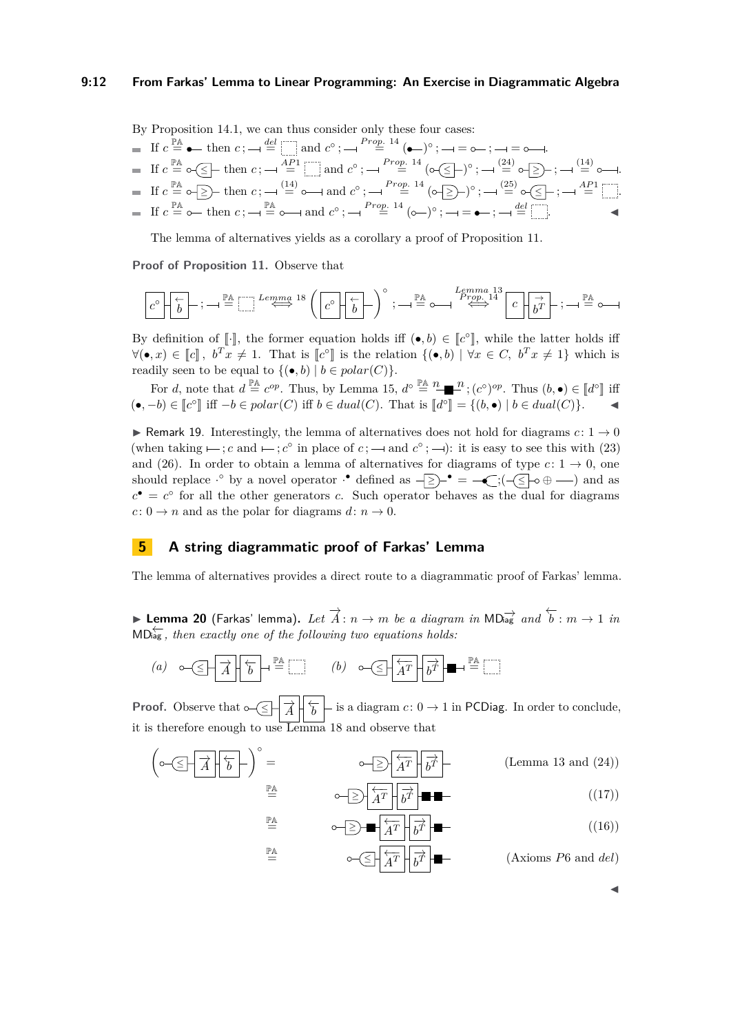#### **9:12 From Farkas' Lemma to Linear Programming: An Exercise in Diagrammatic Algebra**

By Proposition [14.](#page-9-3)1, we can thus consider only these four cases:

■ If 
$$
c \stackrel{\mathbb{P}\mathbb{A}}{=} \bullet
$$
 then  $c$ ;  $\neg \stackrel{del}{=} \boxed{\square}$  and  $c^\circ$ ;  $\neg \stackrel{Prop. 14}{=} (\bullet -)^\circ$ ;  $\neg = \circ -$ ;  $\neg = \circ -$ .  
\n■ If  $c \stackrel{\mathbb{P}\mathbb{A}}{=} \circ \boxed{\leq}$  then  $c$ ;  $\neg \stackrel{AP}{=} \boxed{\square}$  and  $c^\circ$ ;  $\neg \stackrel{Prop. 14}{=} (\circ \boxed{\leq})^\circ$ ;  $\neg \stackrel{(24)}{=} \circ \boxed{\geq}$ );  $\neg \stackrel{(14)}{=} \circ \neg$ .  
\n■ If  $c \stackrel{\mathbb{P}\mathbb{A}}{=} \circ \boxed{\geq}$  then  $c$ ;  $\neg \stackrel{(14)}{=} \circ \neg$  and  $c^\circ$ ;  $\neg \stackrel{Prop. 14}{=} (\circ \boxed{\geq})^\circ$ ;  $\neg \stackrel{(25)}{=} \circ \boxed{\leq}$ ;  $\neg \stackrel{AP1}{=} \boxed{\square}$ .  
\n■ If  $c \stackrel{\mathbb{P}\mathbb{A}}{=} \circ \neg$  then  $c$ ;  $\neg \stackrel{\mathbb{P}\mathbb{A}}{=} \circ \neg$  and  $c^\circ$ ;  $\neg \stackrel{Prop. 14}{=} (\circ -)^\circ$ ;  $\neg = \bullet -$ ;  $\neg \stackrel{del}{=} \boxed{\square}$ .

The lemma of alternatives yields as a corollary a proof of Proposition [11.](#page-8-5)

**Proof of Proposition [11.](#page-8-5)** Observe that

*c* ◦ ← *b* ; PA = *Lemma* [18](#page-10-2) ⇐⇒ *c* ◦ ← *b* ◦ ; PA = *Lemma* [13](#page-9-5) *P rop.* [14](#page-9-3) ⇐⇒ *c* → *b <sup>T</sup>* ; PA =

By definition of  $[\cdot]$ , the former equation holds iff  $(\bullet, b) \in [\![c^{\circ}]\!]$ , while the latter holds iff<br> $\forall (\bullet, \bullet) \in \mathbb{R}^{\mathbb{N}}$ ,  $\forall \bullet \in \mathbb{R}^{\mathbb{N}}$ ,  $\forall \bullet \in \mathbb{R}^{\mathbb{N}}$ ,  $\forall \bullet \in \mathbb{R}^{\mathbb{N}}$ ,  $\forall \bullet \in \mathbb{R}^{\mathbb{N}}$ ,  $\forall (\bullet, x) \in \llbracket c \rrbracket$ ,  $b^T x \neq 1$ . That is  $\llbracket c^\circ \rrbracket$  is the relation  $\{(\bullet, b) \mid \forall x \in C, b^T x \neq 1\}$  which is readily seen to be equal to  $\{(\bullet, b) \mid b \in polar(C)\}.$ 

For *d*, note that  $d \stackrel{\mathbb{P}^{\mathbb{A}}}{=} c^{op}$ . Thus, by Lemma [15,](#page-9-0)  $d^{\circ} \stackrel{\mathbb{P}^{\mathbb{A}}}{=} \stackrel{n}{\bullet} \stackrel{n}{\bullet} \stackrel{n}{\bullet} \stackrel{n}{\bullet}$ ;  $(c^{\circ})^{op}$ . Thus  $(b, \bullet) \in [d^{\circ}]$  iff  $(•, -b) \in \llbracket c^{\circ} \rrbracket$  iff  $-b \in polar(C)$  iff  $b \in dual(C)$ . That is  $\llbracket d^{\circ} \rrbracket = \{(b, \bullet) | b \in dual(C)\}.$  ◀

**► Remark 19.** Interestingly, the lemma of alternatives does not hold for diagrams  $c: 1 \rightarrow 0$ (when taking  $\mapsto$ ; *c* and  $\mapsto$ ; *c*<sup>°</sup> in place of *c*;  $\mapsto$  and *c*<sup>°</sup>;  $\mapsto$ ): it is easy to see this with [\(23\)](#page-9-1) and [\(26\)](#page-9-6). In order to obtain a lemma of alternatives for diagrams of type  $c: 1 \rightarrow 0$ , one should replace  $\cdot^{\circ}$  by a novel operator  $\cdot^{\bullet}$  defined as  $\overline{\Rightarrow}$  =  $\overline{\left(\cdot,\cdot\right)}$  =  $\overline{\left(\cdot,\cdot\right)}$  and as  $c^{\bullet} = c^{\circ}$  for all the other generators *c*. Such operator behaves as the dual for diagrams  $c: 0 \rightarrow n$  and as the polar for diagrams  $d: n \rightarrow 0$ .

### <span id="page-11-0"></span>**5 A string diagrammatic proof of Farkas' Lemma**

The lemma of alternatives provides a direct route to a diagrammatic proof of Farkas' lemma.

<span id="page-11-1"></span>► Lemma 20 (Farkas' lemma). Let  $\overrightarrow{A}$ :  $n \to m$  be a diagram in MD<sub>rag</sub> and  $\overleftarrow{b}$ :  $m \to 1$  in MD<del>iag</del>, then exactly one of the following two equations holds:

(a) 
$$
\circ \left( \leq \frac{1}{\sqrt{1-\frac{1}{\sqrt{1-\frac{1}{\sqrt{1-\frac{1}{\sqrt{1-\frac{1}{\sqrt{1-\frac{1}{\sqrt{1-\frac{1}{\sqrt{1-\frac{1}{\sqrt{1-\frac{1}{\sqrt{1-\frac{1}{\sqrt{1-\frac{1}{\sqrt{1-\frac{1}{\sqrt{1-\frac{1}{\sqrt{1-\frac{1}{\sqrt{1-\frac{1}{\sqrt{1-\frac{1}{\sqrt{1-\frac{1}{\sqrt{1-\frac{1}{\sqrt{1-\frac{1}{\sqrt{1-\frac{1}{\sqrt{1-\frac{1}{\sqrt{1-\frac{1}{\sqrt{1-\frac{1}{\sqrt{1-\frac{1}{\sqrt{1-\frac{1}{\sqrt{1-\frac{1}{\sqrt{1-\frac{1}{\sqrt{1-\frac{1}{\sqrt{1-\frac{1}{\sqrt{1-\frac{1}{\sqrt{1-\frac{1}{\sqrt{1-\frac{1}{\sqrt{1-\frac{1}{\sqrt{1-\frac{1}{\sqrt{1-\frac{1}{\sqrt{1-\frac{1}{\sqrt{1-\frac{1}{\sqrt{1-\frac{1}{\sqrt{1-\frac{1}{\sqrt{1-\frac{1}{\sqrt{1-\frac{1}{\sqrt{1-\frac{1}{\sqrt{1-\frac{1}{\sqrt{1-\frac{1}{\sqrt{1-\frac{1}{\sqrt{1-\frac{1}{\sqrt{1-\frac{1}{\sqrt{1-\frac{1}{1-\frac{1}{\sqrt{1-\frac{1}{\sqrt{1-\frac{1}{\sqrt{1-\frac{1}{\sqrt{1-\frac{1}{\sqrt{1-\frac{1}{\sqrt{1-\frac{1}{\sqrt{1-\frac{1}{\sqrt{1-\frac{1}{\sqrt{1-\frac{1}{\sqrt{1-\frac{1}{\sqrt{1-\frac{1}{\sqrt{1-\frac{1}{\sqrt{1-\frac{1}{\sqrt{1-\frac{1}{\sqrt{1-\frac{1}{\sqrt{1-\frac{1}{\sqrt{1-\frac{1}{\sqrt{1-\frac{1}{\sqrt{1-\frac{1}{1\sqrt{1 - \frac{1}{\sqrt{1 - \frac{1}{\sqrt{1 - \frac{1}{\sqrt{1 - \frac{1}{\sqrt{1 - \frac{1}{\sqrt{1 - \frac{1}{\sqrt{1 - \frac{1}{\sqrt{1 - \frac{1}{\sqrt{1 - \frac{1}{\sqrt{1 - \frac{1}{\sqrt{1 - \frac{1}{\sqrt{1 - \frac{1}{\sqrt{1 - \frac{1}{\sqrt{1 - \frac{1}{\sqrt{1 - \frac
$$

 $\overset{\mathbb{P}\mathbb{A}}{=}$ 

PA

**Proof.** Observe that  $\sim \leq \frac{1}{A} \left| \frac{1}{b} \right|$  is a diagram  $c: 0 \to 1$  in PCDiag. In order to conclude, it is therefore enough to use Lemma [18](#page-10-2) and observe that

$$
\left(\circ\neg\left(\frac{\Box}{A}\middle|\frac{\Box}{b}\middle|\right)\right)^{\circ} = \circ\neg\left(\frac{\Box}{A^{T}}\middle|\frac{\overrightarrow{b}}{b^{T}}\middle|\right)
$$
\n
$$
\stackrel{\mathbb{P}\mathbb{A}}{\equiv} \circ\neg\left(\frac{\Box}{A^{T}}\middle|\frac{\overrightarrow{b}}{b^{T}}\middle|\right)
$$
\n
$$
\stackrel{\mathbb{P}\mathbb{A}}{\equiv} \circ\neg\left(\frac{\Box}{A^{T}}\middle|\frac{\overrightarrow{b}}{b^{T}}\middle|\right)
$$
\n
$$
\stackrel{\mathbb{P}\mathbb{A}}{\equiv} \circ\neg\left(\frac{\Box}{A^{T}}\middle|\frac{\overrightarrow{b}}{b^{T}}\middle|\right)
$$
\n
$$
\stackrel{\mathbb{P}\mathbb{A}}{\equiv} \circ\neg\left(\frac{\Box}{A^{T}}\middle|\frac{\overrightarrow{b}}{b^{T}}\middle|\right)
$$
\n
$$
\stackrel{\mathbb{P}\mathbb{A}}{\equiv} \circ\neg\left(\frac{\Box}{A^{T}}\middle|\frac{\overrightarrow{b}}{b^{T}}\middle|\right)
$$
\n
$$
\stackrel{\mathbb{P}\mathbb{A}}{\equiv} \circ\neg\left(\frac{\Box}{A^{T}}\middle|\frac{\overrightarrow{b}}{b^{T}}\middle|\right)
$$
\n
$$
\stackrel{\mathbb{P}\mathbb{A}}{\equiv} \circ\neg\left(\frac{\Box}{A^{T}}\middle|\frac{\overrightarrow{b}}{b^{T}}\middle|\right)
$$
\n
$$
\stackrel{\mathbb{P}\mathbb{A}}{\equiv} \circ\neg\left(\frac{\Box}{A^{T}}\middle|\frac{\overrightarrow{b}}{b^{T}}\middle|\right)
$$
\n
$$
\stackrel{\mathbb{P}\mathbb{A}}{\equiv} \circ\neg\left(\frac{\Box}{A^{T}}\middle|\frac{\overrightarrow{b}}{b^{T}}\middle|\right)
$$
\n
$$
\stackrel{\mathbb{P}\mathbb{A}}{\equiv} \circ\neg\left(\frac{\Box}{A^{T}}\middle|\frac{\overrightarrow{b}}{b^{T}}\middle|\right)
$$
\n
$$
\stackrel{\mathbb{P}\mathbb{A}}{\equiv} \circ\neg\left(\frac{\Box}{A^{T}}\middle|\frac{\overrightarrow{b}}{b^{T}}\middle|\right)
$$
\n
$$
\stackrel{\mathbb{P}\mathbb{A}}{\equiv} \circ\neg\left(\
$$

$$
\stackrel{\mathbb{P}\mathbb{A}}{=} \qquad \qquad \circ \quad \text{or} \quad \frac{\leftarrow}{A^T} \quad \boxed{b^T} \quad \blacksquare \tag{16}
$$

 $=\frac{\partial^2 A}{\partial x^2}$   $\frac{1}{\partial x^2}$ *b <sup>T</sup>* (Axioms *P*6 and *del*)

◀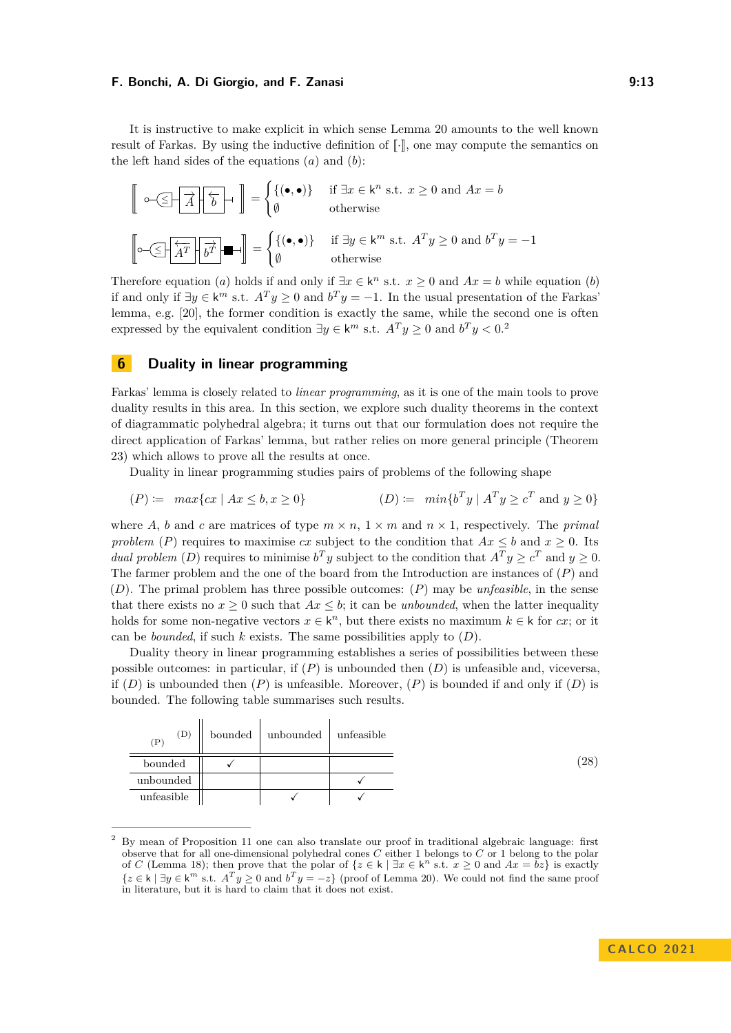It is instructive to make explicit in which sense Lemma [20](#page-11-1) amounts to the well known result of Farkas. By using the inductive definition of  $\lceil \cdot \rceil$ , one may compute the semantics on the left hand sides of the equations (*a*) and (*b*):

s <sup>≤</sup> −→*<sup>A</sup>* ←− *b* { = ( {(•*,* •)} if ∃*x* ∈ k *<sup>n</sup>* s.t. *x* ≥ 0 and *Ax* = *b* ∅ otherwise s <sup>≤</sup> ←− *A<sup>T</sup>* −→ *b T* { = ( {(•*,* •)} if ∃*y* ∈ k *<sup>m</sup>* s.t. *A<sup>T</sup> y* ≥ 0 and *b <sup>T</sup> y* = −1 ∅ otherwise

Therefore equation (*a*) holds if and only if  $\exists x \in \mathsf{k}^n$  s.t.  $x \geq 0$  and  $Ax = b$  while equation (*b*) if and only if  $\exists y \in \mathsf{k}^m$  s.t.  $A^T y \geq 0$  and  $b^T y = -1$ . In the usual presentation of the Farkas' lemma, e.g. [\[20\]](#page-16-23), the former condition is exactly the same, while the second one is often expressed by the equivalent condition  $\exists y \in \mathsf{k}^m$  s.t.  $A^T y \geq 0$  and  $b^T y < 0$ .

## <span id="page-12-0"></span>**6 Duality in linear programming**

Farkas' lemma is closely related to *linear programming*, as it is one of the main tools to prove duality results in this area. In this section, we explore such duality theorems in the context of diagrammatic polyhedral algebra; it turns out that our formulation does not require the direct application of Farkas' lemma, but rather relies on more general principle (Theorem [23\)](#page-13-0) which allows to prove all the results at once.

Duality in linear programming studies pairs of problems of the following shape

$$
(P) := \max\{cx \mid Ax \le b, x \ge 0\} \qquad (D) := \min\{b^T y \mid A^T y \ge c^T \text{ and } y \ge 0\}
$$

where *A*, *b* and *c* are matrices of type  $m \times n$ ,  $1 \times m$  and  $n \times 1$ , respectively. The *primal problem* (*P*) requires to maximise *cx* subject to the condition that  $Ax \leq b$  and  $x \geq 0$ . Its *dual problem* (*D*) requires to minimise  $b^T y$  subject to the condition that  $A^T y \ge c^T$  and  $y \ge 0$ . The farmer problem and the one of the board from the Introduction are instances of (*P*) and (*D*). The primal problem has three possible outcomes: (*P*) may be *unfeasible*, in the sense that there exists no  $x \geq 0$  such that  $Ax \leq b$ ; it can be *unbounded*, when the latter inequality holds for some non-negative vectors  $x \in \mathsf{k}^n$ , but there exists no maximum  $k \in \mathsf{k}$  for *cx*; or it can be *bounded*, if such *k* exists. The same possibilities apply to  $(D)$ .

Duality theory in linear programming establishes a series of possibilities between these possible outcomes: in particular, if (*P*) is unbounded then (*D*) is unfeasible and, viceversa, if  $(D)$  is unbounded then  $(P)$  is unfeasible. Moreover,  $(P)$  is bounded if and only if  $(D)$  is bounded. The following table summarises such results.

<span id="page-12-2"></span>

| (D)<br>$(\rm P)$ | bounded | unbounded | unfeasible |
|------------------|---------|-----------|------------|
| bounded          |         |           |            |
| unbounded        |         |           |            |
| unfeasible       |         |           |            |

<span id="page-12-1"></span><sup>2</sup> By mean of Proposition [11](#page-8-5) one can also translate our proof in traditional algebraic language: first observe that for all one-dimensional polyhedral cones *C* either 1 belongs to *C* or 1 belong to the polar of *C* (Lemma [18\)](#page-10-2); then prove that the polar of  $\{z \in k \mid \exists x \in k^n \text{ s.t. } x \geq 0 \text{ and } Ax = bz\}$  is exactly  ${z \in k \mid \exists y \in k^m \text{ s.t. } A^T y \geq 0 \text{ and } b^T y = -z}$  (proof of Lemma [20\)](#page-11-1). We could not find the same proof in literature, but it is hard to claim that it does not exist.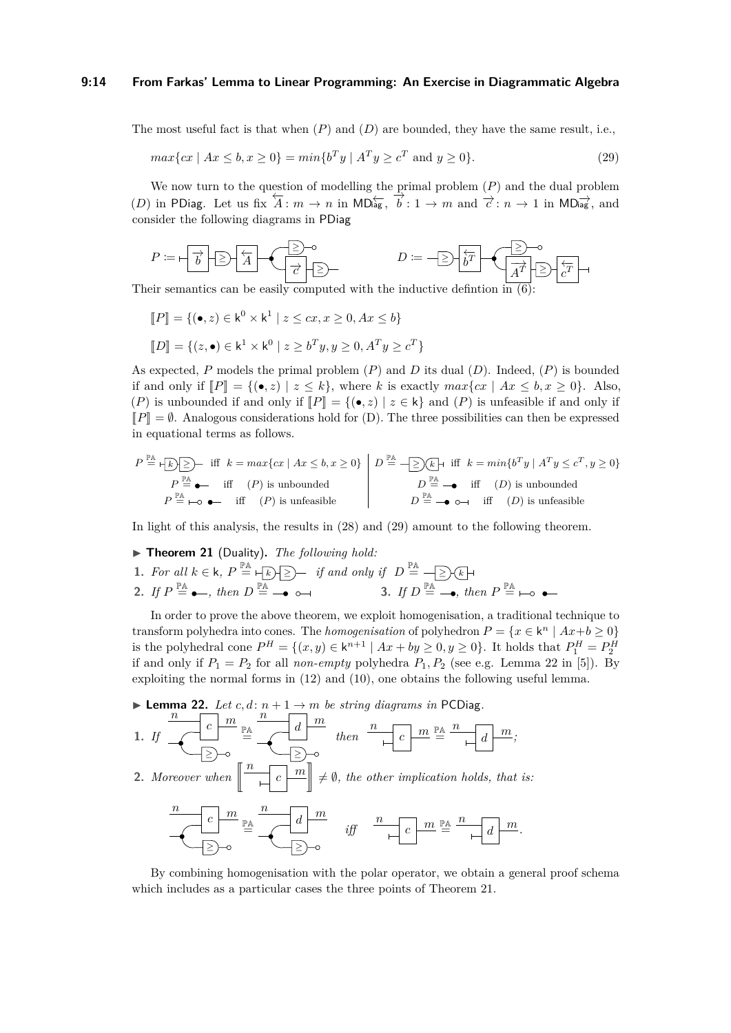#### **9:14 From Farkas' Lemma to Linear Programming: An Exercise in Diagrammatic Algebra**

The most useful fact is that when  $(P)$  and  $(D)$  are bounded, they have the same result, i.e.,

<span id="page-13-1"></span>
$$
\max\{cx \mid Ax \le b, x \ge 0\} = \min\{b^T y \mid A^T y \ge c^T \text{ and } y \ge 0\}.
$$
 (29)

We now turn to the question of modelling the primal problem (*P*) and the dual problem (*D*) in PDiag. Let us fix  $\overleftarrow{A}$ :  $m \to n$  in MD $\overleftarrow{A}$ <sub>iag</sub>,  $\overrightarrow{b}$ : 1 → *m* and  $\overrightarrow{c}$ :  $n \to 1$  in MD<sub>iag</sub><sup>+</sup>, and consider the following diagrams in PDiag

$$
P:=\begin{array}{|c|c|c|}\hline \overrightarrow{b}&\hline \overrightarrow{A}&\overrightarrow{A} &\overrightarrow{C} &\overrightarrow{C} &\overrightarrow{C} &\overrightarrow{C} &\overrightarrow{C} &\overrightarrow{C} &\overrightarrow{C} &\overrightarrow{C} &\overrightarrow{C} &\overrightarrow{C} &\overrightarrow{C} &\overrightarrow{C} &\overrightarrow{C} &\overrightarrow{C} &\overrightarrow{C} &\overrightarrow{C} &\overrightarrow{C} &\overrightarrow{C} &\overrightarrow{C} &\overrightarrow{C} &\overrightarrow{C} &\overrightarrow{C} &\overrightarrow{C} &\overrightarrow{C} &\overrightarrow{C} &\overrightarrow{C} &\overrightarrow{C} &\overrightarrow{C} &\overrightarrow{C} &\overrightarrow{C} &\overrightarrow{C} &\overrightarrow{C} &\overrightarrow{C} &\overrightarrow{C} &\overrightarrow{C} &\overrightarrow{C} &\overrightarrow{C} &\overrightarrow{C} &\overrightarrow{C} &\overrightarrow{C} &\overrightarrow{C} &\overrightarrow{C} &\overrightarrow{C} &\overrightarrow{C} &\overrightarrow{C} &\overrightarrow{C} &\overrightarrow{C} &\overrightarrow{C} &\overrightarrow{C} &\overrightarrow{C} &\overrightarrow{C} &\overrightarrow{C} &\overrightarrow{C} &\overrightarrow{C} &\overrightarrow{C} &\overrightarrow{C} &\overrightarrow{C} &\overrightarrow{C} &\overrightarrow{C} &\overrightarrow{C} &\overrightarrow{C} &\overrightarrow{C} &\overrightarrow{C} &\overrightarrow{C} &\overrightarrow{C} &\overrightarrow{C} &\overrightarrow{C} &\overrightarrow{C} &\overrightarrow{C} &\overrightarrow{C} &\overrightarrow{C} &\overrightarrow{C} &\overrightarrow{C} &\overrightarrow{C} &\overrightarrow{C} &\overrightarrow{C} &\overrightarrow{C} &\overrightarrow{C} &\overrightarrow{C} &\overrightarrow{C} &\overrightarrow{C} &\overrightarrow{C} &\overrightarrow{C} &\overrightarrow{C} &\overrightarrow{C} &\overrightarrow{C} &\overrightarrow{C} &\overrightarrow{C} &\overrightarrow{C} &\overrightarrow{C} &\overrightarrow{C} &\overrightarrow{C} &\overrightarrow{C} &\overrightarrow{C} &\overrightarrow{C} &\overrightarrow{C} &\overrightarrow{C} &\overrightarrow{C} &\overrightarrow{C} &\overrightarrow{C} &\overrightarrow{C} &\overrightarrow{C} &\overrightarrow{C}
$$

Their semantics can be easily computed with the inductive definition in  $(6)$ :

 $\llbracket P \rrbracket = \{ (\bullet, z) \in \mathsf{k}^0 \times \mathsf{k}^1 \mid z \leq cx, x \geq 0, Ax \leq b \}$  $[D] = \{ (z, \bullet) \in \mathsf{k}^1 \times \mathsf{k}^0 \mid z \geq b^T y, y \geq 0, A^T y \geq c^T \}$ 

As expected, *P* models the primal problem (*P*) and *D* its dual (*D*). Indeed, (*P*) is bounded if and only if  $\llbracket P \rrbracket = \{ (\bullet, z) \mid z \leq k \}$ , where *k* is exactly  $max\{cx \mid Ax \leq b, x \geq 0 \}$ . Also, (*P*) is unbounded if and only if  $\llbracket P \rrbracket = \{ (\bullet, z) \mid z \in \mathsf{k} \}$  and (*P*) is unfeasible if and only if  $\llbracket P \rrbracket = \emptyset$ . Analogous considerations hold for (D). The three possibilities can then be expressed in equational terms as follows.

$$
P \stackrel{\mathbb{P}\mathbb{A}}{=} \bigoplus_{P \equiv \text{A}} \sum_{p \text{ in } P} \text{ iff } k = \max\{cx \mid Ax \leq b, x \geq 0\} \bigg| D \stackrel{\mathbb{P}\mathbb{A}}{=} \bigoplus_{D \equiv -\text{ in } (D) \text{ is unbounded}} \frac{D \stackrel{\mathbb{P}\mathbb{A}}{=} \sum_{p \text{ in } (D) \text{ is unbounded}} \frac{D \stackrel{\mathbb{P}\mathbb{A}}{=} \sum_{p \text{ in } (D) \text{ is unbounded}} \frac{D \stackrel{\mathbb{P}\mathbb{A}}{=} \sum_{p \text{ in } (D) \text{ is unfeasible}} \frac{D \stackrel{\mathbb{P}\mathbb{A}}{=} \sum_{p \text{ in } (D) \text{ is unfeasible}} \frac{D \stackrel{\mathbb{P}\mathbb{A}}{=} \sum_{p \text{ in } (D) \text{ is unfeasible}} \frac{D \stackrel{\mathbb{P}\mathbb{A}}{=} \sum_{p \text{ in } (D) \text{ is unfeasible}} \frac{D \stackrel{\mathbb{P}\mathbb{A}}{=} \sum_{p \text{ in } (D) \text{ is unfeasible}} \frac{D \stackrel{\mathbb{P}\mathbb{A}}{=} \sum_{p \text{ in } (D) \text{ is unfeasible}} \frac{D \stackrel{\mathbb{P}\mathbb{A}}{=} \sum_{p \text{ in } (D) \text{ is unfeasible}} \frac{D \stackrel{\mathbb{P}\mathbb{A}}{=} \sum_{p \text{ in } (D) \text{ is unfeasible}} \frac{D \stackrel{\mathbb{P}\mathbb{A}}{=} \sum_{p \text{ in } (D) \text{ is unbounded}} \frac{D \stackrel{\mathbb{P}\mathbb{A}}{=} \sum_{p \text{ in } (D) \text{ is unbounded}} \frac{D \stackrel{\mathbb{P}\mathbb{A}}{=} \sum_{p \text{ in } (D) \text{ is unbounded}} \frac{D \stackrel{\mathbb{P}\mathbb{A}}{=} \sum_{p \text{ in } (D) \text{ is unbounded}} \frac{D \stackrel{\mathbb{P}\mathbb{A}}{=} \sum_{p \text{ in } (D) \text{ is unbounded}} \frac{D \stackrel{\mathbb{P}\mathbb{A}}{=} \sum_{p \text{ in } (D) \text{ is unbounded}} \frac{D \stackrel{\mathbb{P}\
$$

<span id="page-13-2"></span>In light of this analysis, the results in [\(28\)](#page-12-2) and [\(29\)](#page-13-1) amount to the following theorem.

- ▶ **Theorem 21** (Duality)**.** *The following hold:*
- **1.** For all  $k \in \mathsf{k}$ ,  $P \stackrel{\mathbb{P} \mathsf{A}}{=} + \sqrt{\kappa}$   $\geq$   $\geq$  *if and only if*  $D \stackrel{\mathbb{P} \mathsf{A}}{=} -\sqrt{\geq} \sqrt{\kappa}$ **2.** *If*  $P \stackrel{\mathbb{P} \mathbb{A}}{=} \bullet \bullet$ , then  $D \stackrel{\mathbb{P} \mathbb{A}}{=} \bullet \bullet \bullet \bullet \bullet$  3. *If*  $D \stackrel{\mathbb{P} \mathbb{A}}{=} \bullet$ , then  $P \stackrel{\mathbb{P} \mathbb{A}}{=}$

In order to prove the above theorem, we exploit homogenisation, a traditional technique to transform polyhedra into cones. The *homogenisation* of polyhedron  $P = \{x \in \mathsf{k}^n \mid Ax + b \geq 0\}$ is the polyhedral cone  $P^H = \{(x, y) \in \mathsf{k}^{n+1} \mid Ax + by \geq 0, y \geq 0\}$ . It holds that  $P_1^H = P_2^H$ if and only if  $P_1 = P_2$  for all *non-empty* polyhedra  $P_1, P_2$  (see e.g. Lemma 22 in [\[5\]](#page-15-8)). By exploiting the normal forms in [\(12\)](#page-6-0) and [\(10\)](#page-5-3), one obtains the following useful lemma.

<span id="page-13-3"></span>

<span id="page-13-0"></span>By combining homogenisation with the polar operator, we obtain a general proof schema which includes as a particular cases the three points of Theorem [21.](#page-13-2)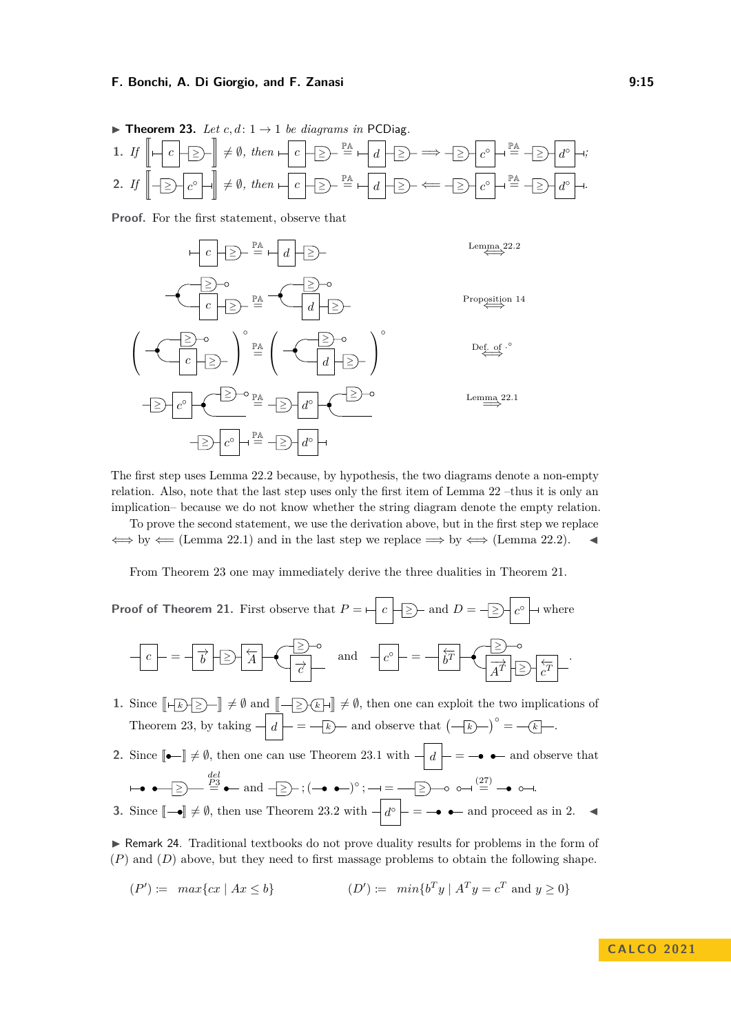\n- **Theorem 23.** Let 
$$
c, d: 1 \to 1
$$
 be diagrams in PCDiag.
\n- **1.** If  $\left\| \left| \left| \left| \left| \left| \left| \left| \right| \right| \right| \right| \right| \right| \neq \emptyset$ , then  $\left| \left| \left| \left| \left| \right| \right| \right| \right| \right| \xrightarrow{\mathbb{P}^{\mathbb{A}}} \left| \left| \left| \left| \left| \right| \right| \right| \right| \xrightarrow{\mathbb{P}^{\mathbb{A}}} \left| \left| \left| \left| \left| \right| \right| \right| \right| \xrightarrow{\mathbb{P}^{\mathbb{A}}} \left| \left| \left| \left| \left| \right| \right| \right| \right| \xrightarrow{\mathbb{P}^{\mathbb{A}}} \left| \left| \left| \left| \left| \right| \right| \right| \right| \xrightarrow{\mathbb{P}^{\mathbb{A}}} \left| \left| \left| \left| \left| \right| \right| \right| \right| \xrightarrow{\mathbb{P}^{\mathbb{A}}} \left| \left| \left| \left| \left| \left| \right| \right| \right| \right| \xrightarrow{\mathbb{P}^{\mathbb{A}}} \left| \left| \left| \left| \left| \right| \right| \right| \right| \xrightarrow{\mathbb{P}^{\mathbb{A}}} \left| \left| \left| \left| \left| \left| \right| \right| \right| \right| \xrightarrow{\mathbb{P}^{\mathbb{A}}} \left| \left| \left| \left| \left| \left| \right| \right| \right| \right| \xrightarrow{\mathbb{P}^{\mathbb{A}}} \left| \left| \left| \left| \left| \left| \right| \right| \right| \right| \xrightarrow{\mathbb{P}^{\mathbb{A}}} \left| \left| \left| \left| \left| \left| \left| \right| \right| \right| \right| \right| \xrightarrow{\mathbb{P}^{\mathbb{A}}} \left| \left| \left| \left| \left| \left| \right| \right| \right| \right| \xrightarrow{\mathbb{P}^{\mathbb{A}}} \left| \left| \left| \left| \left| \left| \left| \left| \right| \right| \right| \right| \right| \xrightarrow{\mathbb{P}^{\mathbb{A}}} \left| \left| \left$

**Proof.** For the first statement, observe that

$$
c = \frac{1}{2} - \frac{1}{2} = \frac{1}{2} - \frac{1}{2} = \frac{1}{2} - \frac{1}{2} = \frac{1}{2} - \frac{1}{2} = \frac{1}{2} - \frac{1}{2} = \frac{1}{2} - \frac{1}{2} = \frac{1}{2} - \frac{1}{2} = \frac{1}{2} - \frac{1}{2} = \frac{1}{2} - \frac{1}{2} = \frac{1}{2} - \frac{1}{2} = \frac{1}{2} - \frac{1}{2} = \frac{1}{2} - \frac{1}{2} = \frac{1}{2} - \frac{1}{2} = \frac{1}{2} - \frac{1}{2} = \frac{1}{2} - \frac{1}{2} = \frac{1}{2} - \frac{1}{2} = \frac{1}{2} - \frac{1}{2} = \frac{1}{2} - \frac{1}{2} = \frac{1}{2} - \frac{1}{2} = \frac{1}{2} - \frac{1}{2} = \frac{1}{2} - \frac{1}{2} = \frac{1}{2} - \frac{1}{2} = \frac{1}{2} - \frac{1}{2} = \frac{1}{2} - \frac{1}{2} = \frac{1}{2} - \frac{1}{2} = \frac{1}{2} - \frac{1}{2} = \frac{1}{2} - \frac{1}{2} = \frac{1}{2} - \frac{1}{2} = \frac{1}{2} - \frac{1}{2} = \frac{1}{2} - \frac{1}{2} = \frac{1}{2} - \frac{1}{2} = \frac{1}{2} - \frac{1}{2} = \frac{1}{2} - \frac{1}{2} = \frac{1}{2} - \frac{1}{2} = \frac{1}{2} - \frac{1}{2} = \frac{1}{2} - \frac{1}{2} = \frac{1}{2} - \frac{1}{2} = \frac{1}{2} - \frac{1}{2} = \frac{1}{2} - \frac{1}{2} = \frac{1}{2} - \frac{1}{2} = \frac{1}{2} - \frac{1}{2} = \frac{1}{2} - \frac{1}{2} = \frac{1}{2} - \frac{1}{2} = \frac{1}{2} - \frac{1}{2} = \frac{1}{2} - \frac{1}{2} = \frac{1}{2} - \frac{1}{2} = \frac{1}{2} - \frac{1}{2} = \frac{1}{
$$

The first step uses Lemma [22.](#page-13-3)2 because, by hypothesis, the two diagrams denote a non-empty relation. Also, note that the last step uses only the first item of Lemma [22](#page-13-3) –thus it is only an implication– because we do not know whether the string diagram denote the empty relation.

To prove the second statement, we use the derivation above, but in the first step we replace  $\iff$  by  $\iff$  (Lemma [22.](#page-13-3)1) and in the last step we replace  $\implies$  by  $\iff$  (Lemma 22.2).

From Theorem [23](#page-13-0) one may immediately derive the three dualities in Theorem [21.](#page-13-2)

Proof of Theorem 21. First observe that 
$$
P = \boxed{c}
$$
 and  $D = \boxed{\geq} \boxed{c^{\circ}}$  where  

$$
\boxed{c} = \boxed{\overrightarrow{b}} \boxed{\geq} \boxed{\overleftarrow{A}} \boxed{\geq}^{\circ}
$$
 and 
$$
\boxed{c^{\circ}} = \boxed{\frac{\overleftarrow{b}T}{\overrightarrow{A}T}} \boxed{\geq} \boxed{\frac{\overleftarrow{c}T}{\overrightarrow{A}T}}.
$$

- **1.** Since  $\llbracket \left[ \bigoplus_k \right] \geq \infty$  and  $\llbracket \left[ \bigoplus_k \right] \geq \infty$   $\llbracket \left[ \bigoplus_k \right] \neq \emptyset$ , then one can exploit the two implications of Theorem [23,](#page-13-0) by taking  $-\left| d \right| = \left| -\frac{k}{k} \right|$  and observe that  $\left( -\frac{k}{k} \right)^{\circ} = \left| -\frac{k}{k} \right|$ .
- **2.** Since  $\llbracket \bullet \llbracket \bullet \llbracket \bullet \rrbracket \neq \emptyset$ , then one can use Theorem [23.](#page-13-0)1 with  $\llbracket d \rrbracket = \bullet \bullet$  and observe that ≥ *del*<br>  $\stackrel{P3}{=}$   $\bullet$  and  $\stackrel{P}{\Rightarrow}$  ; (→  $\bullet$   $\bullet$  )°;  $\rightarrow$  =  $\stackrel{P}{\Rightarrow}$   $\rightarrow$  0  $\rightarrow$  ( $\stackrel{27}{=}$   $\rightarrow$  0  $\rightarrow$

3. Since 
$$
[\neg\bullet] \neq \emptyset
$$
, then use Theorem 23.2 with  $\neg\bullet\phi = \neg\bullet\bullet\bullet$  and proceed as in 2.

▶ Remark 24. Traditional textbooks do not prove duality results for problems in the form of (*P*) and (*D*) above, but they need to first massage problems to obtain the following shape.

$$
(P') := \max\{cx \mid Ax \le b\} \qquad (D') := \min\{b^T y \mid A^T y = c^T \text{ and } y \ge 0\}
$$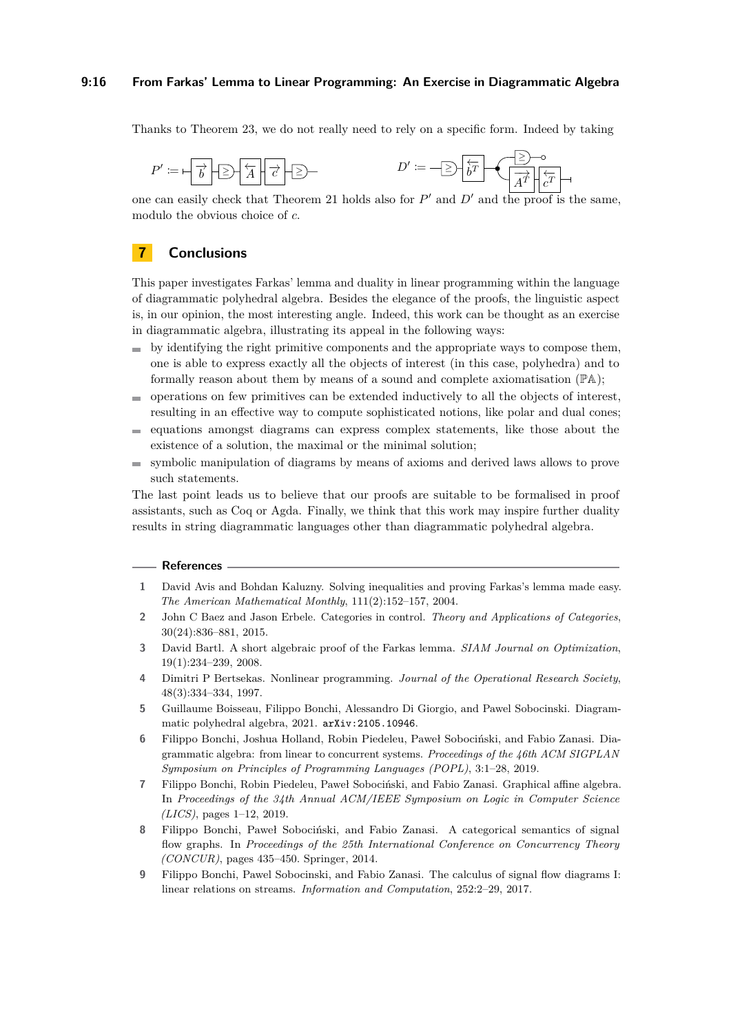#### **9:16 From Farkas' Lemma to Linear Programming: An Exercise in Diagrammatic Algebra**

Thanks to Theorem [23,](#page-13-0) we do not really need to rely on a specific form. Indeed by taking

$$
P' \coloneqq -\frac{1}{b} \cdot \boxed{2} - \frac{1}{A} \cdot \boxed{c} - \boxed{2} - \frac{1}{b} \cdot \boxed{D'} \coloneqq -\boxed{2} \cdot \frac{1}{b} \cdot \boxed{D'} - \frac{1}{\boxed{A'}^T} \cdot \frac{1}{c} - \frac{1}{c} \cdot \boxed{D'} - \frac{1}{c} \cdot \boxed{D'} - \frac{1}{c} \cdot \boxed{D'} - \frac{1}{c} \cdot \boxed{D'} - \frac{1}{c} \cdot \boxed{D'} - \frac{1}{c} \cdot \boxed{D'} - \frac{1}{c} \cdot \boxed{D'} - \frac{1}{c} \cdot \boxed{D'} - \frac{1}{c} \cdot \boxed{D'} - \frac{1}{c} \cdot \boxed{D'} - \frac{1}{c} \cdot \boxed{D'} - \frac{1}{c} \cdot \boxed{D'} - \frac{1}{c} \cdot \boxed{D'} - \frac{1}{c} \cdot \boxed{D'} - \frac{1}{c} \cdot \boxed{D'} - \frac{1}{c} \cdot \boxed{D'} - \frac{1}{c} \cdot \boxed{D'} - \frac{1}{c} \cdot \boxed{D'} - \frac{1}{c} \cdot \boxed{D'} - \frac{1}{c} \cdot \boxed{D'} - \frac{1}{c} \cdot \boxed{D'} - \frac{1}{c} \cdot \boxed{D'} - \frac{1}{c} \cdot \boxed{D'} - \frac{1}{c} \cdot \boxed{D'} - \frac{1}{c} \cdot \boxed{D'} - \frac{1}{c} \cdot \boxed{D'} - \frac{1}{c} \cdot \boxed{D'} - \frac{1}{c} \cdot \boxed{D'} - \frac{1}{c} \cdot \boxed{D'} - \frac{1}{c} \cdot \boxed{D'} - \frac{1}{c} \cdot \boxed{D'} - \frac{1}{c} \cdot \boxed{D'} - \frac{1}{c} \cdot \boxed{D'} - \frac{1}{c} \cdot \boxed{D'} - \frac{1}{c} \cdot \boxed{D'} - \frac{1}{c} \cdot \boxed{D'} - \frac{1}{c} \cdot \boxed{D'} - \frac{1}{c} \cdot \boxed{D'} - \frac{1}{c} \cdot \boxed{D'} - \frac{1}{c} \cdot \boxed{D'} - \frac{1}{c} \cdot \boxed{D'} - \frac{1}{c} \cdot \boxed{D'} - \frac{1}{c} \cdot \boxed{D'} - \frac{1}{c}
$$

one can easily check that Theorem [21](#page-13-2) holds also for  $P'$  and  $D'$  and the proof is the same, modulo the obvious choice of *c*.

## **7 Conclusions**

This paper investigates Farkas' lemma and duality in linear programming within the language of diagrammatic polyhedral algebra. Besides the elegance of the proofs, the linguistic aspect is, in our opinion, the most interesting angle. Indeed, this work can be thought as an exercise in diagrammatic algebra, illustrating its appeal in the following ways:

- $\bullet$  by identifying the right primitive components and the appropriate ways to compose them, one is able to express exactly all the objects of interest (in this case, polyhedra) and to formally reason about them by means of a sound and complete axiomatisation (PA);
- operations on few primitives can be extended inductively to all the objects of interest,  $\mathcal{L}_{\mathcal{A}}$ resulting in an effective way to compute sophisticated notions, like polar and dual cones;
- equations amongst diagrams can express complex statements, like those about the m. existence of a solution, the maximal or the minimal solution;
- symbolic manipulation of diagrams by means of axioms and derived laws allows to prove  $\mathcal{L}_{\mathcal{A}}$ such statements.

The last point leads us to believe that our proofs are suitable to be formalised in proof assistants, such as Coq or Agda. Finally, we think that this work may inspire further duality results in string diagrammatic languages other than diagrammatic polyhedral algebra.

#### **References**

- <span id="page-15-2"></span>**1** David Avis and Bohdan Kaluzny. Solving inequalities and proving Farkas's lemma made easy. *The American Mathematical Monthly*, 111(2):152–157, 2004.
- <span id="page-15-3"></span>**2** John C Baez and Jason Erbele. Categories in control. *Theory and Applications of Categories*, 30(24):836–881, 2015.
- <span id="page-15-0"></span>**3** David Bartl. A short algebraic proof of the Farkas lemma. *SIAM Journal on Optimization*, 19(1):234–239, 2008.
- <span id="page-15-1"></span>**4** Dimitri P Bertsekas. Nonlinear programming. *Journal of the Operational Research Society*, 48(3):334–334, 1997.
- <span id="page-15-8"></span>**5** Guillaume Boisseau, Filippo Bonchi, Alessandro Di Giorgio, and Pawel Sobocinski. Diagrammatic polyhedral algebra, 2021. [arXiv:2105.10946](http://arxiv.org/abs/2105.10946).
- <span id="page-15-4"></span>**6** Filippo Bonchi, Joshua Holland, Robin Piedeleu, Paweł Sobociński, and Fabio Zanasi. Diagrammatic algebra: from linear to concurrent systems. *Proceedings of the 46th ACM SIGPLAN Symposium on Principles of Programming Languages (POPL)*, 3:1–28, 2019.
- <span id="page-15-6"></span>**7** Filippo Bonchi, Robin Piedeleu, Paweł Sobociński, and Fabio Zanasi. Graphical affine algebra. In *Proceedings of the 34th Annual ACM/IEEE Symposium on Logic in Computer Science (LICS)*, pages 1–12, 2019.
- <span id="page-15-5"></span>**8** Filippo Bonchi, Paweł Sobociński, and Fabio Zanasi. A categorical semantics of signal flow graphs. In *Proceedings of the 25th International Conference on Concurrency Theory (CONCUR)*, pages 435–450. Springer, 2014.
- <span id="page-15-7"></span>**9** Filippo Bonchi, Pawel Sobocinski, and Fabio Zanasi. The calculus of signal flow diagrams I: linear relations on streams. *Information and Computation*, 252:2–29, 2017.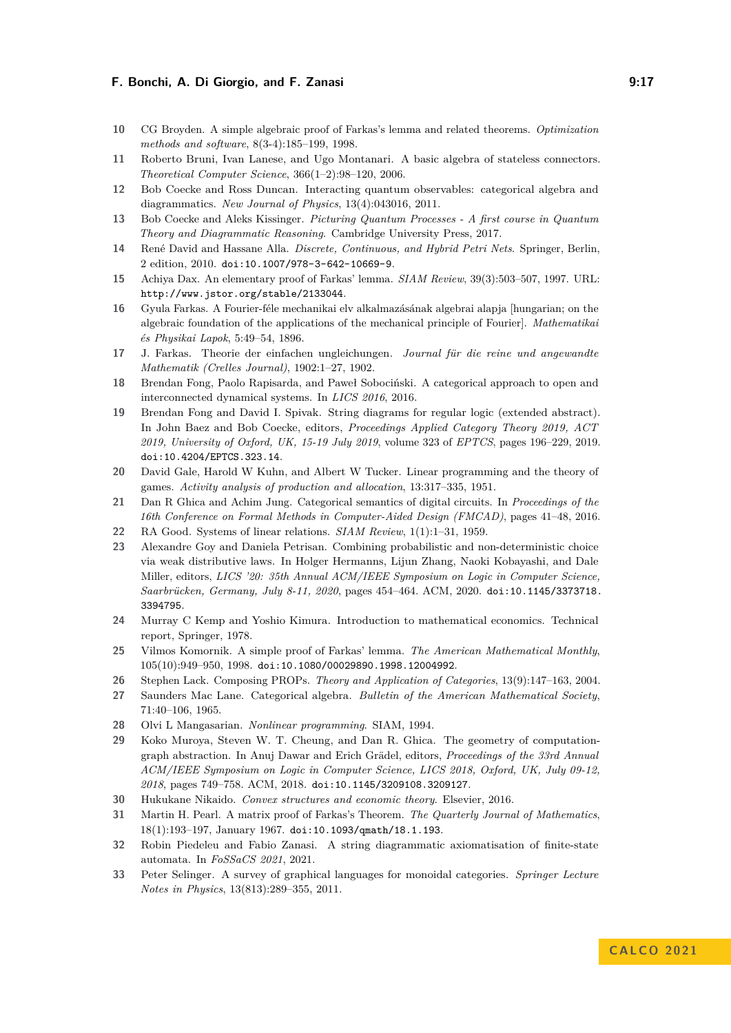#### **F. Bonchi, A. Di Giorgio, and F. Zanasi 19. 17** (1994) 19.17

- <span id="page-16-2"></span>**10** CG Broyden. A simple algebraic proof of Farkas's lemma and related theorems. *Optimization methods and software*, 8(3-4):185–199, 1998.
- <span id="page-16-18"></span>**11** Roberto Bruni, Ivan Lanese, and Ugo Montanari. A basic algebra of stateless connectors. *Theoretical Computer Science*, 366(1–2):98–120, 2006.
- <span id="page-16-12"></span>**12** Bob Coecke and Ross Duncan. Interacting quantum observables: categorical algebra and diagrammatics. *New Journal of Physics*, 13(4):043016, 2011.
- <span id="page-16-19"></span>**13** Bob Coecke and Aleks Kissinger. *Picturing Quantum Processes - A first course in Quantum Theory and Diagrammatic Reasoning*. Cambridge University Press, 2017.
- <span id="page-16-20"></span>**14** René David and Hassane Alla. *Discrete, Continuous, and Hybrid Petri Nets*. Springer, Berlin, 2 edition, 2010. [doi:10.1007/978-3-642-10669-9](https://doi.org/10.1007/978-3-642-10669-9).
- <span id="page-16-3"></span>**15** Achiya Dax. An elementary proof of Farkas' lemma. *SIAM Review*, 39(3):503–507, 1997. URL: <http://www.jstor.org/stable/2133044>.
- <span id="page-16-0"></span>**16** Gyula Farkas. A Fourier-féle mechanikai elv alkalmazásának algebrai alapja [hungarian; on the algebraic foundation of the applications of the mechanical principle of Fourier]. *Mathematikai és Physikai Lapok*, 5:49–54, 1896.
- <span id="page-16-1"></span>**17** J. Farkas. Theorie der einfachen ungleichungen. *Journal für die reine und angewandte Mathematik (Crelles Journal)*, 1902:1–27, 1902.
- <span id="page-16-13"></span>**18** Brendan Fong, Paolo Rapisarda, and Paweł Sobociński. A categorical approach to open and interconnected dynamical systems. In *LICS 2016*, 2016.
- <span id="page-16-14"></span>**19** Brendan Fong and David I. Spivak. String diagrams for regular logic (extended abstract). In John Baez and Bob Coecke, editors, *Proceedings Applied Category Theory 2019, ACT 2019, University of Oxford, UK, 15-19 July 2019*, volume 323 of *EPTCS*, pages 196–229, 2019. [doi:10.4204/EPTCS.323.14](https://doi.org/10.4204/EPTCS.323.14).
- <span id="page-16-23"></span>**20** David Gale, Harold W Kuhn, and Albert W Tucker. Linear programming and the theory of games. *Activity analysis of production and allocation*, 13:317–335, 1951.
- <span id="page-16-15"></span>**21** Dan R Ghica and Achim Jung. Categorical semantics of digital circuits. In *Proceedings of the 16th Conference on Formal Methods in Computer-Aided Design (FMCAD)*, pages 41–48, 2016.
- <span id="page-16-4"></span>**22** RA Good. Systems of linear relations. *SIAM Review*, 1(1):1–31, 1959.
- <span id="page-16-10"></span>**23** Alexandre Goy and Daniela Petrisan. Combining probabilistic and non-deterministic choice via weak distributive laws. In Holger Hermanns, Lijun Zhang, Naoki Kobayashi, and Dale Miller, editors, *LICS '20: 35th Annual ACM/IEEE Symposium on Logic in Computer Science, Saarbrücken, Germany, July 8-11, 2020*, pages 454–464. ACM, 2020. [doi:10.1145/3373718.](https://doi.org/10.1145/3373718.3394795) [3394795](https://doi.org/10.1145/3373718.3394795).
- <span id="page-16-8"></span>**24** Murray C Kemp and Yoshio Kimura. Introduction to mathematical economics. Technical report, Springer, 1978.
- <span id="page-16-6"></span>**25** Vilmos Komornik. A simple proof of Farkas' lemma. *The American Mathematical Monthly*, 105(10):949–950, 1998. [doi:10.1080/00029890.1998.12004992](https://doi.org/10.1080/00029890.1998.12004992).
- <span id="page-16-22"></span>**26** Stephen Lack. Composing PROPs. *Theory and Application of Categories*, 13(9):147–163, 2004.
- <span id="page-16-21"></span>**27** Saunders Mac Lane. Categorical algebra. *Bulletin of the American Mathematical Society*, 71:40–106, 1965.
- <span id="page-16-9"></span>**28** Olvi L Mangasarian. *Nonlinear programming*. SIAM, 1994.
- <span id="page-16-16"></span>**29** Koko Muroya, Steven W. T. Cheung, and Dan R. Ghica. The geometry of computationgraph abstraction. In Anuj Dawar and Erich Grädel, editors, *Proceedings of the 33rd Annual ACM/IEEE Symposium on Logic in Computer Science, LICS 2018, Oxford, UK, July 09-12, 2018*, pages 749–758. ACM, 2018. [doi:10.1145/3209108.3209127](https://doi.org/10.1145/3209108.3209127).
- <span id="page-16-5"></span>**30** Hukukane Nikaido. *Convex structures and economic theory*. Elsevier, 2016.
- <span id="page-16-7"></span>**31** Martin H. Pearl. A matrix proof of Farkas's Theorem. *The Quarterly Journal of Mathematics*, 18(1):193–197, January 1967. [doi:10.1093/qmath/18.1.193](https://doi.org/10.1093/qmath/18.1.193).
- <span id="page-16-17"></span>**32** Robin Piedeleu and Fabio Zanasi. A string diagrammatic axiomatisation of finite-state automata. In *FoSSaCS 2021*, 2021.
- <span id="page-16-11"></span>**33** Peter Selinger. A survey of graphical languages for monoidal categories. *Springer Lecture Notes in Physics*, 13(813):289–355, 2011.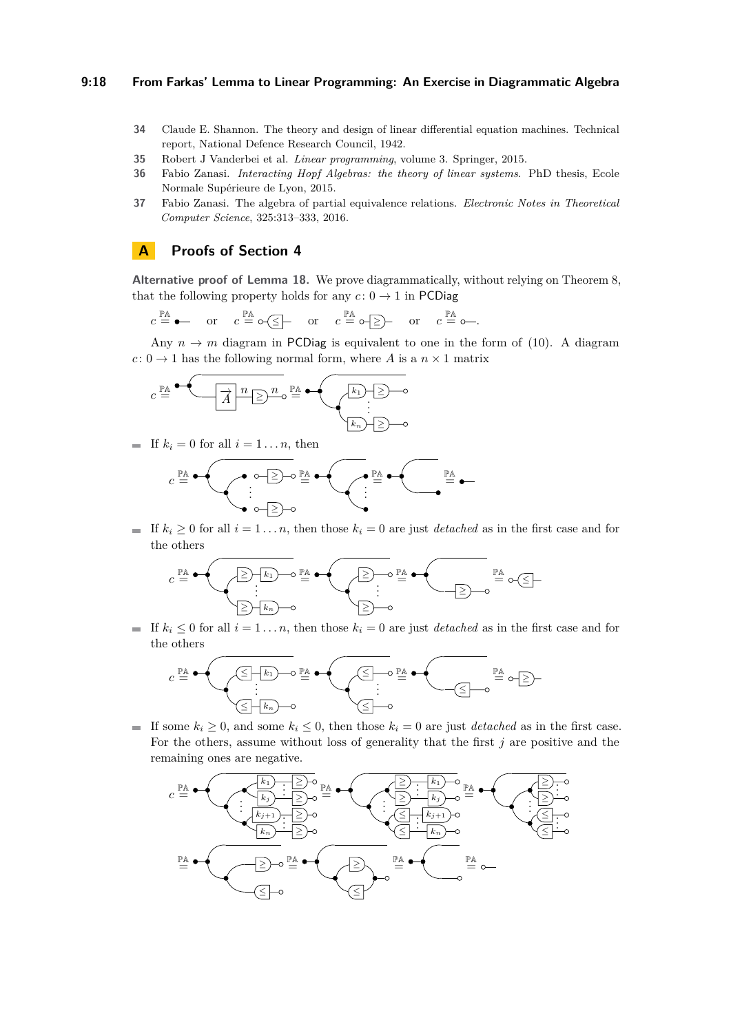#### **9:18 From Farkas' Lemma to Linear Programming: An Exercise in Diagrammatic Algebra**

- <span id="page-17-2"></span>**34** Claude E. Shannon. The theory and design of linear differential equation machines. Technical report, National Defence Research Council, 1942.
- <span id="page-17-3"></span>**35** Robert J Vanderbei et al. *Linear programming*, volume 3. Springer, 2015.
- <span id="page-17-0"></span>**36** Fabio Zanasi. *Interacting Hopf Algebras: the theory of linear systems*. PhD thesis, Ecole Normale Supérieure de Lyon, 2015.
- <span id="page-17-1"></span>**37** Fabio Zanasi. The algebra of partial equivalence relations. *Electronic Notes in Theoretical Computer Science*, 325:313–333, 2016.

## <span id="page-17-4"></span>**A Proofs of Section [4](#page-10-0)**

**Alternative proof of Lemma [18.](#page-10-2)** We prove diagrammatically, without relying on Theorem [8,](#page-6-2) that the following property holds for any  $c: 0 \rightarrow 1$  in PCDiag

$$
c \stackrel{\mathbb{P} \mathbb{A}}{=} \bullet
$$
 or  $c \stackrel{\mathbb{P} \mathbb{A}}{=} \circ \text{ or } c \stackrel{\mathbb{P} \mathbb{A}}{=} \circ \text{ or } c \stackrel{\mathbb{P} \mathbb{A}}{=} \circ \text{ or } c \stackrel{\mathbb{P} \mathbb{A}}{=} \circ$ 

Any  $n \to m$  diagram in PCDiag is equivalent to one in the form of [\(10\)](#page-5-3). A diagram  $c: 0 \to 1$  has the following normal form, where *A* is a  $n \times 1$  matrix

$$
c \stackrel{\mathbb{P} \mathbb{A}}{=} \qquad \qquad \overbrace{\overbrace{A} \xrightarrow{n} \underline{\geq}} \xrightarrow{n} \circ \stackrel{\mathbb{P} \mathbb{A}}{=} \qquad \qquad \overbrace{\xrightarrow{k_1}} \underline{\geq} \neg \circ
$$

If  $k_i = 0$  for all  $i = 1 \ldots n$ , then

*c* PA = ≥ ≥ . . . PA = . . . PA = PA =

If  $k_i \geq 0$  for all  $i = 1 \ldots n$ , then those  $k_i = 0$  are just *detached* as in the first case and for the others

*c* PA = ≥ *k*<sup>1</sup> ≥ *k<sup>n</sup>* . . . PA = ≥ ≥ . . . PA = ≥ PA = <sup>≤</sup>

If  $k_i \leq 0$  for all  $i = 1 \ldots n$ , then those  $k_i = 0$  are just *detached* as in the first case and for the others

$$
c \stackrel{\mathbb{P} \mathbb{A}}{=} \begin{pmatrix} \text{span} \\ \text{min} \\ \text{min} \end{pmatrix} \stackrel{\mathbb{P} \mathbb{A}}{=} \begin{pmatrix} \text{span} \\ \text{min} \\ \text{min} \end{pmatrix} \stackrel{\mathbb{P} \mathbb{A}}{=} \begin{pmatrix} \text{span} \\ \text{min} \\ \text{min} \end{pmatrix} \stackrel{\mathbb{P} \mathbb{A}}{=} \text{span} \\ \text{min} \end{pmatrix}
$$

■ If some  $k_i \geq 0$ , and some  $k_i \leq 0$ , then those  $k_i = 0$  are just *detached* as in the first case. For the others, assume without loss of generality that the first *j* are positive and the remaining ones are negative.